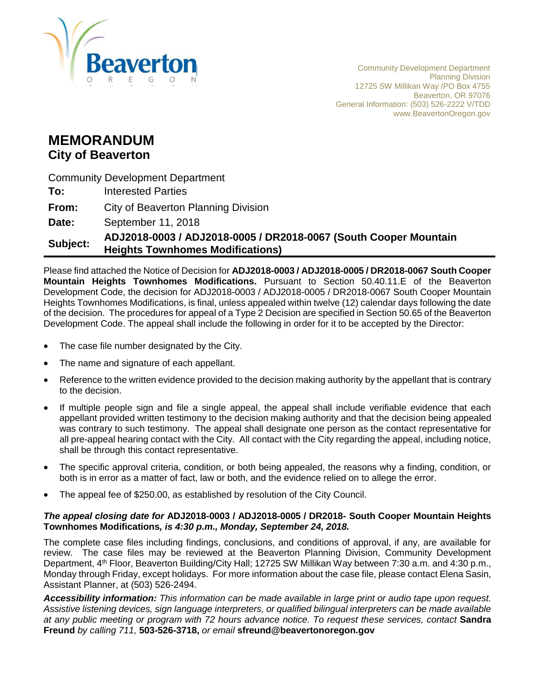

Community Development Department Planning Division 12725 SW Millikan Way /PO Box 4755 Beaverton, OR 97076 General Information: (503) 526-2222 V/TDD www.BeavertonOregon.gov

# **MEMORANDUM City of Beaverton**

Community Development Department

**To:** Interested Parties

**From:** City of Beaverton Planning Division

**Date:** September 11, 2018

# **Subject: ADJ2018-0003 / ADJ2018-0005 / DR2018-0067 (South Cooper Mountain Heights Townhomes Modifications)**

Please find attached the Notice of Decision for **ADJ2018-0003 / ADJ2018-0005 / DR2018-0067 South Cooper Mountain Heights Townhomes Modifications.** Pursuant to Section 50.40.11.E of the Beaverton Development Code, the decision for ADJ2018-0003 / ADJ2018-0005 / DR2018-0067 South Cooper Mountain Heights Townhomes Modifications, is final, unless appealed within twelve (12) calendar days following the date of the decision. The procedures for appeal of a Type 2 Decision are specified in Section 50.65 of the Beaverton Development Code. The appeal shall include the following in order for it to be accepted by the Director:

- The case file number designated by the City.
- The name and signature of each appellant.
- Reference to the written evidence provided to the decision making authority by the appellant that is contrary to the decision.
- If multiple people sign and file a single appeal, the appeal shall include verifiable evidence that each appellant provided written testimony to the decision making authority and that the decision being appealed was contrary to such testimony. The appeal shall designate one person as the contact representative for all pre-appeal hearing contact with the City. All contact with the City regarding the appeal, including notice, shall be through this contact representative.
- The specific approval criteria, condition, or both being appealed, the reasons why a finding, condition, or both is in error as a matter of fact, law or both, and the evidence relied on to allege the error.
- The appeal fee of \$250.00, as established by resolution of the City Council.

#### *The appeal closing date for* **ADJ2018-0003 / ADJ2018-0005 / DR2018- South Cooper Mountain Heights Townhomes Modifications***, is 4:30 p.m., Monday, September 24, 2018.*

The complete case files including findings, conclusions, and conditions of approval, if any, are available for review. The case files may be reviewed at the Beaverton Planning Division, Community Development Department, 4<sup>th</sup> Floor, Beaverton Building/City Hall; 12725 SW Millikan Way between 7:30 a.m. and 4:30 p.m., Monday through Friday, except holidays. For more information about the case file, please contact Elena Sasin, Assistant Planner, at (503) 526-2494.

*Accessibility information: This information can be made available in large print or audio tape upon request. Assistive listening devices, sign language interpreters, or qualified bilingual interpreters can be made available at any public meeting or program with 72 hours advance notice. To request these services, contact* **Sandra Freund** *by calling 711,* **503-526-3718,** *or email* **sfreund@beavertonoregon.gov**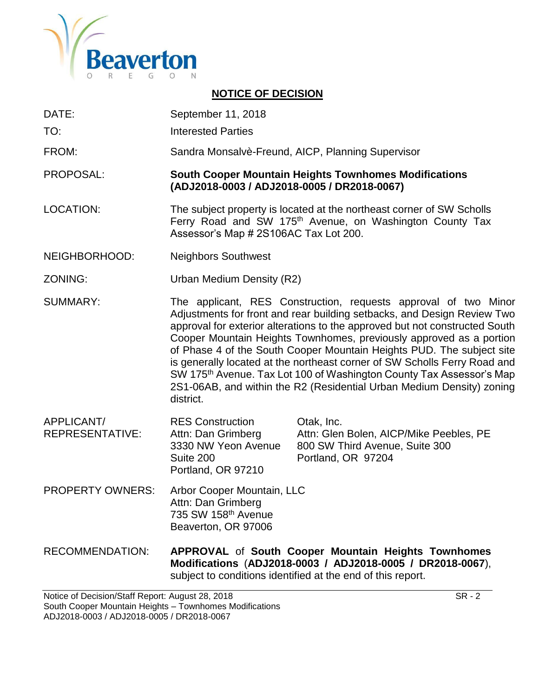

# **NOTICE OF DECISION**

- DATE: September 11, 2018
- TO: Interested Parties
- FROM: Sandra Monsalvè-Freund, AICP, Planning Supervisor

PROPOSAL: **South Cooper Mountain Heights Townhomes Modifications (ADJ2018-0003 / ADJ2018-0005 / DR2018-0067)**

- LOCATION: The subject property is located at the northeast corner of SW Scholls Ferry Road and SW 175<sup>th</sup> Avenue, on Washington County Tax Assessor's Map # 2S106AC Tax Lot 200.
- NEIGHBORHOOD: Neighbors Southwest
- ZONING: Urban Medium Density (R2)
- SUMMARY: The applicant, RES Construction, requests approval of two Minor Adjustments for front and rear building setbacks, and Design Review Two approval for exterior alterations to the approved but not constructed South Cooper Mountain Heights Townhomes, previously approved as a portion of Phase 4 of the South Cooper Mountain Heights PUD. The subject site is generally located at the northeast corner of SW Scholls Ferry Road and SW 175<sup>th</sup> Avenue. Tax Lot 100 of Washington County Tax Assessor's Map 2S1-06AB, and within the R2 (Residential Urban Medium Density) zoning district.
- APPLICANT/ RES Construction Otak, Inc. REPRESENTATIVE: Attn: Dan Grimberg Attn: Glen Bolen, AICP/Mike Peebles, PE 3330 NW Yeon Avenue 800 SW Third Avenue, Suite 300 Suite 200 Portland, OR 97204 Portland, OR 97210
- PROPERTY OWNERS: Arbor Cooper Mountain, LLC Attn: Dan Grimberg 735 SW 158th Avenue Beaverton, OR 97006

RECOMMENDATION: **APPROVAL** of **South Cooper Mountain Heights Townhomes Modifications** (**ADJ2018-0003 / ADJ2018-0005 / DR2018-0067**), subject to conditions identified at the end of this report.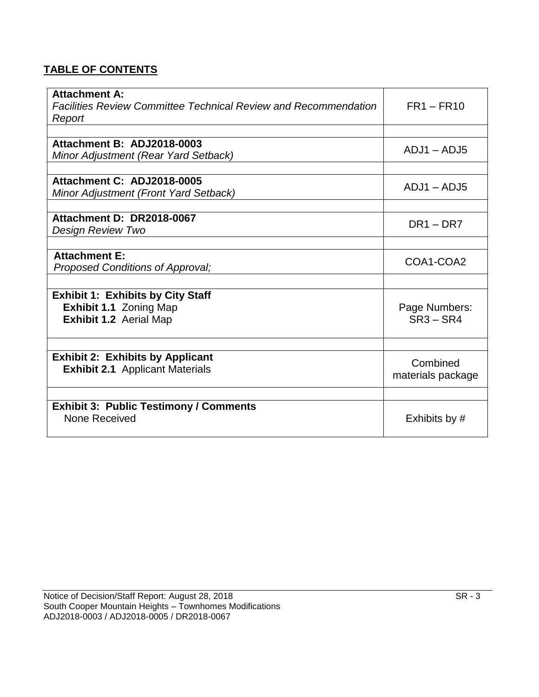# **TABLE OF CONTENTS**

| <b>Attachment A:</b><br>Facilities Review Committee Technical Review and Recommendation<br>Report | $FR1 - FR10$                  |
|---------------------------------------------------------------------------------------------------|-------------------------------|
|                                                                                                   |                               |
| Attachment B: ADJ2018-0003<br>Minor Adjustment (Rear Yard Setback)                                | $ADJ1 - ADJ5$                 |
|                                                                                                   |                               |
| Attachment C: ADJ2018-0005<br>Minor Adjustment (Front Yard Setback)                               | $ADJ1 - ADJ5$                 |
|                                                                                                   |                               |
| Attachment D: DR2018-0067                                                                         | $DR1 - DR7$                   |
| <b>Design Review Two</b>                                                                          |                               |
|                                                                                                   |                               |
| <b>Attachment E:</b>                                                                              | COA1-COA2                     |
| Proposed Conditions of Approval;                                                                  |                               |
|                                                                                                   |                               |
| <b>Exhibit 1: Exhibits by City Staff</b>                                                          |                               |
| Exhibit 1.1 Zoning Map                                                                            | Page Numbers:                 |
| Exhibit 1.2 Aerial Map                                                                            | $SR3 - SR4$                   |
|                                                                                                   |                               |
| <b>Exhibit 2: Exhibits by Applicant</b><br><b>Exhibit 2.1</b> Applicant Materials                 | Combined<br>materials package |
|                                                                                                   |                               |
|                                                                                                   |                               |
| <b>Exhibit 3: Public Testimony / Comments</b><br>None Received                                    | Exhibits by #                 |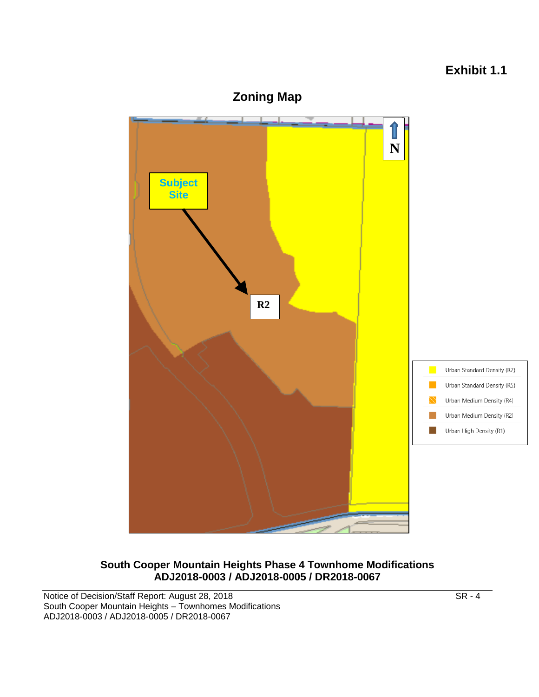# **Exhibit 1.1**



**South Cooper Mountain Heights Phase 4 Townhome Modifications ADJ2018-0003 / ADJ2018-0005 / DR2018-0067**

Notice of Decision/Staff Report: August 28, 2018 SR - 4 South Cooper Mountain Heights – Townhomes Modifications ADJ2018-0003 / ADJ2018-0005 / DR2018-0067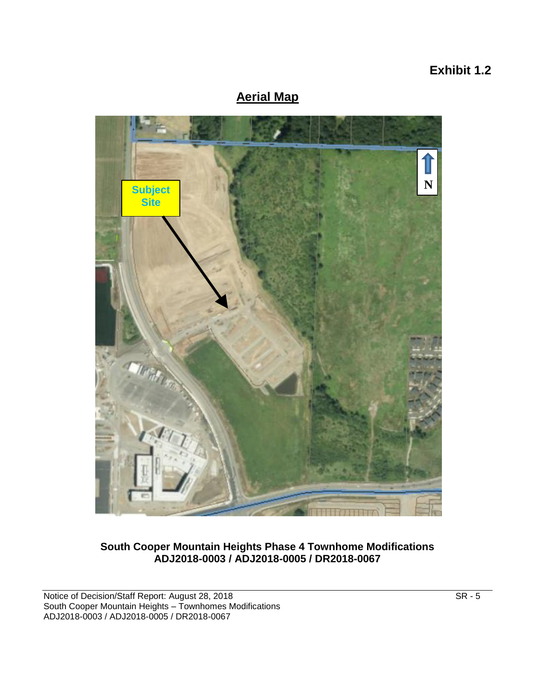# **Exhibit 1.2**

# **Aerial Map**



**South Cooper Mountain Heights Phase 4 Townhome Modifications ADJ2018-0003 / ADJ2018-0005 / DR2018-0067**

Notice of Decision/Staff Report: August 28, 2018 SR - 5 SR - 5 South Cooper Mountain Heights – Townhomes Modifications ADJ2018-0003 / ADJ2018-0005 / DR2018-0067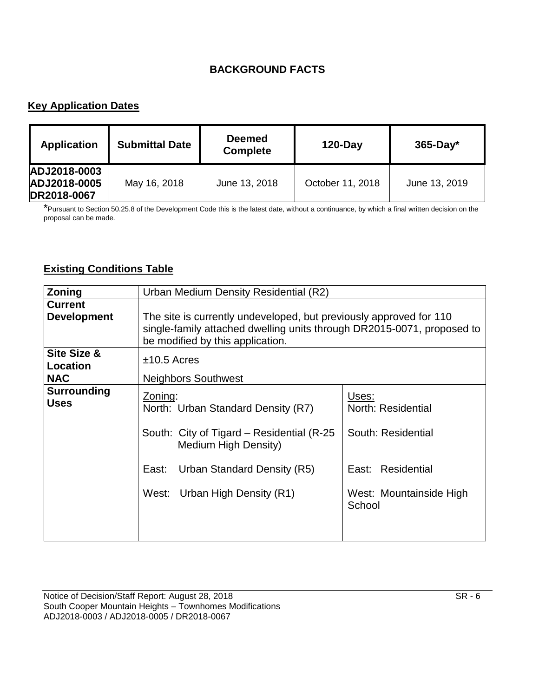# **BACKGROUND FACTS**

# **Key Application Dates**

| <b>Application</b>                          | <b>Submittal Date</b> | <b>Deemed</b><br><b>Complete</b> | $120$ -Day       | $365$ -Day*   |
|---------------------------------------------|-----------------------|----------------------------------|------------------|---------------|
| ADJ2018-0003<br>ADJ2018-0005<br>DR2018-0067 | May 16, 2018          | June 13, 2018                    | October 11, 2018 | June 13, 2019 |

\*Pursuant to Section 50.25.8 of the Development Code this is the latest date, without a continuance, by which a final written decision on the proposal can be made.

# **Existing Conditions Table**

| Zoning             | Urban Medium Density Residential (R2)                                  |                                   |  |
|--------------------|------------------------------------------------------------------------|-----------------------------------|--|
| <b>Current</b>     |                                                                        |                                   |  |
| <b>Development</b> | The site is currently undeveloped, but previously approved for 110     |                                   |  |
|                    | single-family attached dwelling units through DR2015-0071, proposed to |                                   |  |
|                    | be modified by this application.                                       |                                   |  |
| Site Size &        | $±10.5$ Acres                                                          |                                   |  |
| Location           |                                                                        |                                   |  |
| <b>NAC</b>         | <b>Neighbors Southwest</b>                                             |                                   |  |
| Surrounding        | Zoning:                                                                | Uses:                             |  |
| <b>Uses</b>        | North: Urban Standard Density (R7)                                     | North: Residential                |  |
|                    | South: City of Tigard – Residential (R-25<br>Medium High Density)      | South: Residential                |  |
|                    | Urban Standard Density (R5)<br>East:                                   | East: Residential                 |  |
|                    | West: Urban High Density (R1)                                          | West: Mountainside High<br>School |  |
|                    |                                                                        |                                   |  |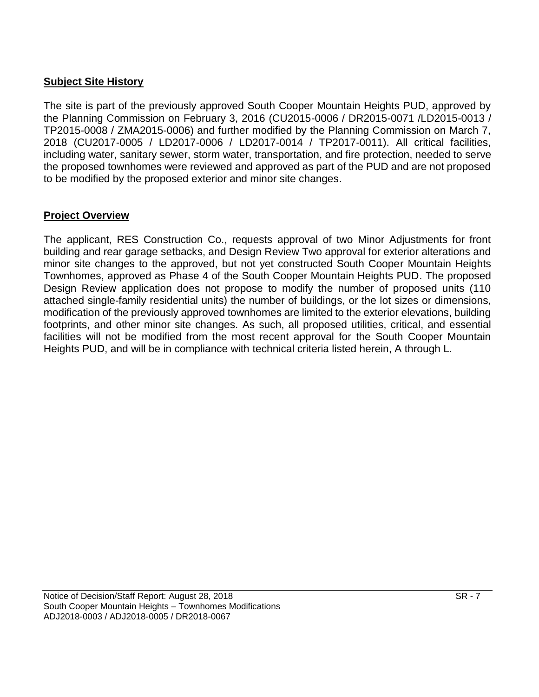## **Subject Site History**

The site is part of the previously approved South Cooper Mountain Heights PUD, approved by the Planning Commission on February 3, 2016 (CU2015-0006 / DR2015-0071 /LD2015-0013 / TP2015-0008 / ZMA2015-0006) and further modified by the Planning Commission on March 7, 2018 (CU2017-0005 / LD2017-0006 / LD2017-0014 / TP2017-0011). All critical facilities, including water, sanitary sewer, storm water, transportation, and fire protection, needed to serve the proposed townhomes were reviewed and approved as part of the PUD and are not proposed to be modified by the proposed exterior and minor site changes.

### **Project Overview**

The applicant, RES Construction Co., requests approval of two Minor Adjustments for front building and rear garage setbacks, and Design Review Two approval for exterior alterations and minor site changes to the approved, but not yet constructed South Cooper Mountain Heights Townhomes, approved as Phase 4 of the South Cooper Mountain Heights PUD. The proposed Design Review application does not propose to modify the number of proposed units (110 attached single-family residential units) the number of buildings, or the lot sizes or dimensions, modification of the previously approved townhomes are limited to the exterior elevations, building footprints, and other minor site changes. As such, all proposed utilities, critical, and essential facilities will not be modified from the most recent approval for the South Cooper Mountain Heights PUD, and will be in compliance with technical criteria listed herein, A through L.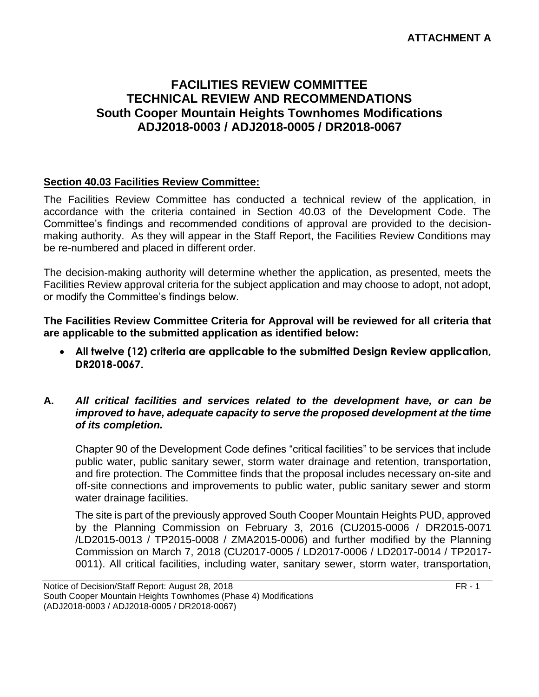#### **ATTACHMENT A**

# **FACILITIES REVIEW COMMITTEE TECHNICAL REVIEW AND RECOMMENDATIONS South Cooper Mountain Heights Townhomes Modifications ADJ2018-0003 / ADJ2018-0005 / DR2018-0067**

#### **Section 40.03 Facilities Review Committee:**

The Facilities Review Committee has conducted a technical review of the application, in accordance with the criteria contained in Section 40.03 of the Development Code. The Committee's findings and recommended conditions of approval are provided to the decisionmaking authority. As they will appear in the Staff Report, the Facilities Review Conditions may be re-numbered and placed in different order.

The decision-making authority will determine whether the application, as presented, meets the Facilities Review approval criteria for the subject application and may choose to adopt, not adopt, or modify the Committee's findings below.

**The Facilities Review Committee Criteria for Approval will be reviewed for all criteria that are applicable to the submitted application as identified below:**

 **All twelve (12) criteria are applicable to the submitted Design Review application, DR2018-0067.**

#### **A.** *All critical facilities and services related to the development have, or can be improved to have, adequate capacity to serve the proposed development at the time of its completion.*

Chapter 90 of the Development Code defines "critical facilities" to be services that include public water, public sanitary sewer, storm water drainage and retention, transportation, and fire protection. The Committee finds that the proposal includes necessary on-site and off-site connections and improvements to public water, public sanitary sewer and storm water drainage facilities.

The site is part of the previously approved South Cooper Mountain Heights PUD, approved by the Planning Commission on February 3, 2016 (CU2015-0006 / DR2015-0071 /LD2015-0013 / TP2015-0008 / ZMA2015-0006) and further modified by the Planning Commission on March 7, 2018 (CU2017-0005 / LD2017-0006 / LD2017-0014 / TP2017- 0011). All critical facilities, including water, sanitary sewer, storm water, transportation,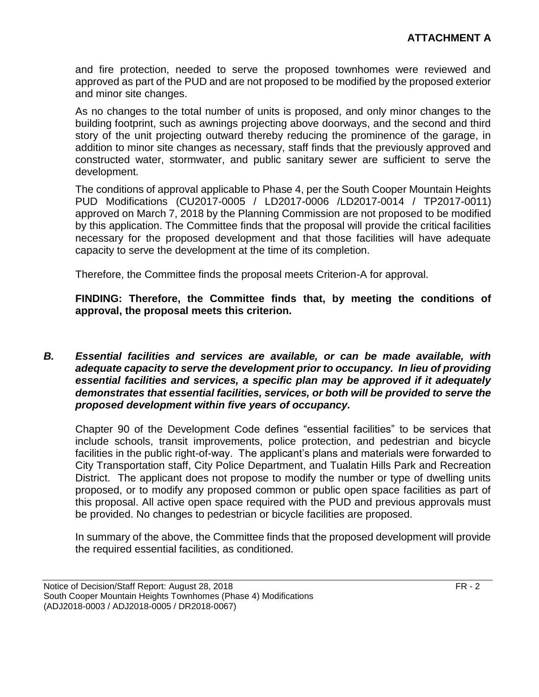and fire protection, needed to serve the proposed townhomes were reviewed and approved as part of the PUD and are not proposed to be modified by the proposed exterior and minor site changes.

As no changes to the total number of units is proposed, and only minor changes to the building footprint, such as awnings projecting above doorways, and the second and third story of the unit projecting outward thereby reducing the prominence of the garage, in addition to minor site changes as necessary, staff finds that the previously approved and constructed water, stormwater, and public sanitary sewer are sufficient to serve the development.

The conditions of approval applicable to Phase 4, per the South Cooper Mountain Heights PUD Modifications (CU2017-0005 / LD2017-0006 /LD2017-0014 / TP2017-0011) approved on March 7, 2018 by the Planning Commission are not proposed to be modified by this application. The Committee finds that the proposal will provide the critical facilities necessary for the proposed development and that those facilities will have adequate capacity to serve the development at the time of its completion.

Therefore, the Committee finds the proposal meets Criterion-A for approval.

**FINDING: Therefore, the Committee finds that, by meeting the conditions of approval, the proposal meets this criterion.** 

*B. Essential facilities and services are available, or can be made available, with adequate capacity to serve the development prior to occupancy. In lieu of providing essential facilities and services, a specific plan may be approved if it adequately demonstrates that essential facilities, services, or both will be provided to serve the proposed development within five years of occupancy.*

Chapter 90 of the Development Code defines "essential facilities" to be services that include schools, transit improvements, police protection, and pedestrian and bicycle facilities in the public right-of-way. The applicant's plans and materials were forwarded to City Transportation staff, City Police Department, and Tualatin Hills Park and Recreation District. The applicant does not propose to modify the number or type of dwelling units proposed, or to modify any proposed common or public open space facilities as part of this proposal. All active open space required with the PUD and previous approvals must be provided. No changes to pedestrian or bicycle facilities are proposed.

In summary of the above, the Committee finds that the proposed development will provide the required essential facilities, as conditioned.

Notice of Decision/Staff Report: August 28, 2018 FR - 2 South Cooper Mountain Heights Townhomes (Phase 4) Modifications (ADJ2018-0003 / ADJ2018-0005 / DR2018-0067)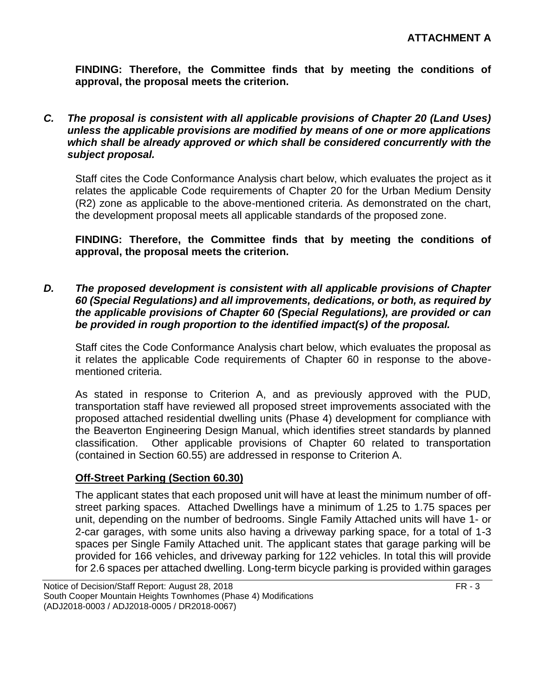**FINDING: Therefore, the Committee finds that by meeting the conditions of approval, the proposal meets the criterion.** 

*C. The proposal is consistent with all applicable provisions of Chapter 20 (Land Uses) unless the applicable provisions are modified by means of one or more applications which shall be already approved or which shall be considered concurrently with the subject proposal.*

Staff cites the Code Conformance Analysis chart below, which evaluates the project as it relates the applicable Code requirements of Chapter 20 for the Urban Medium Density (R2) zone as applicable to the above-mentioned criteria. As demonstrated on the chart, the development proposal meets all applicable standards of the proposed zone.

**FINDING: Therefore, the Committee finds that by meeting the conditions of approval, the proposal meets the criterion.** 

*D. The proposed development is consistent with all applicable provisions of Chapter 60 (Special Regulations) and all improvements, dedications, or both, as required by the applicable provisions of Chapter 60 (Special Regulations), are provided or can be provided in rough proportion to the identified impact(s) of the proposal.*

Staff cites the Code Conformance Analysis chart below, which evaluates the proposal as it relates the applicable Code requirements of Chapter 60 in response to the abovementioned criteria.

As stated in response to Criterion A, and as previously approved with the PUD, transportation staff have reviewed all proposed street improvements associated with the proposed attached residential dwelling units (Phase 4) development for compliance with the Beaverton Engineering Design Manual, which identifies street standards by planned classification. Other applicable provisions of Chapter 60 related to transportation (contained in Section 60.55) are addressed in response to Criterion A.

#### **Off-Street Parking (Section 60.30)**

The applicant states that each proposed unit will have at least the minimum number of offstreet parking spaces. Attached Dwellings have a minimum of 1.25 to 1.75 spaces per unit, depending on the number of bedrooms. Single Family Attached units will have 1- or 2-car garages, with some units also having a driveway parking space, for a total of 1-3 spaces per Single Family Attached unit. The applicant states that garage parking will be provided for 166 vehicles, and driveway parking for 122 vehicles. In total this will provide for 2.6 spaces per attached dwelling. Long-term bicycle parking is provided within garages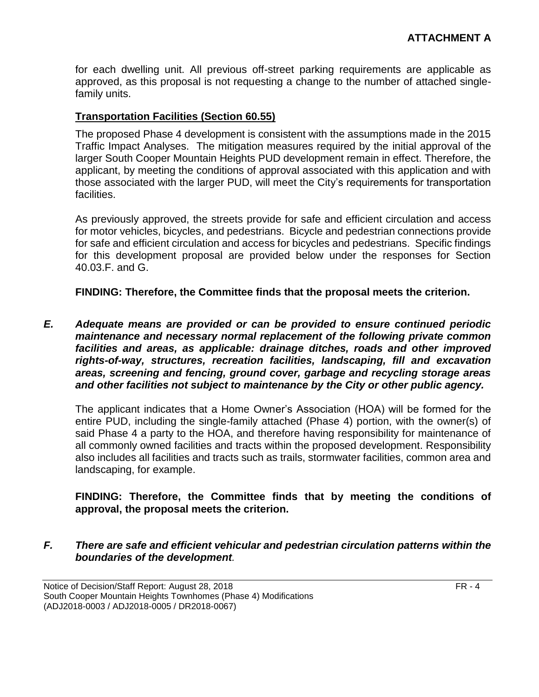for each dwelling unit. All previous off-street parking requirements are applicable as approved, as this proposal is not requesting a change to the number of attached singlefamily units.

#### **Transportation Facilities (Section 60.55)**

The proposed Phase 4 development is consistent with the assumptions made in the 2015 Traffic Impact Analyses. The mitigation measures required by the initial approval of the larger South Cooper Mountain Heights PUD development remain in effect. Therefore, the applicant, by meeting the conditions of approval associated with this application and with those associated with the larger PUD, will meet the City's requirements for transportation facilities.

As previously approved, the streets provide for safe and efficient circulation and access for motor vehicles, bicycles, and pedestrians. Bicycle and pedestrian connections provide for safe and efficient circulation and access for bicycles and pedestrians. Specific findings for this development proposal are provided below under the responses for Section 40.03.F. and G.

**FINDING: Therefore, the Committee finds that the proposal meets the criterion.** 

*E. Adequate means are provided or can be provided to ensure continued periodic maintenance and necessary normal replacement of the following private common facilities and areas, as applicable: drainage ditches, roads and other improved rights-of-way, structures, recreation facilities, landscaping, fill and excavation areas, screening and fencing, ground cover, garbage and recycling storage areas and other facilities not subject to maintenance by the City or other public agency.*

The applicant indicates that a Home Owner's Association (HOA) will be formed for the entire PUD, including the single-family attached (Phase 4) portion, with the owner(s) of said Phase 4 a party to the HOA, and therefore having responsibility for maintenance of all commonly owned facilities and tracts within the proposed development. Responsibility also includes all facilities and tracts such as trails, stormwater facilities, common area and landscaping, for example.

### **FINDING: Therefore, the Committee finds that by meeting the conditions of approval, the proposal meets the criterion.**

#### *F. There are safe and efficient vehicular and pedestrian circulation patterns within the boundaries of the development.*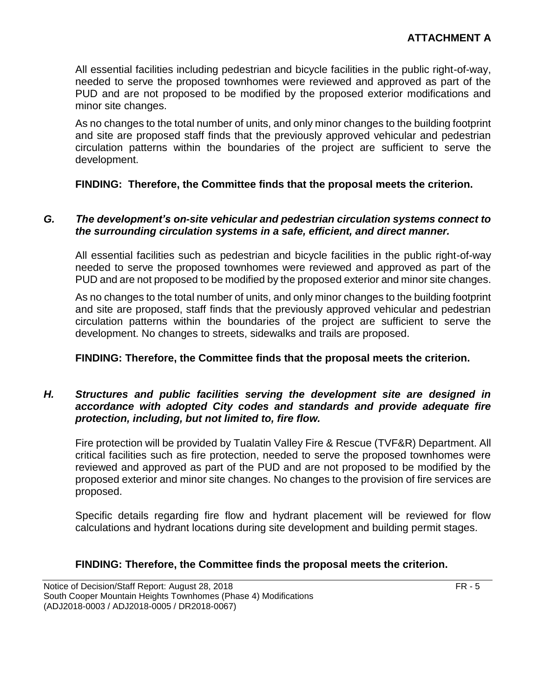All essential facilities including pedestrian and bicycle facilities in the public right-of-way, needed to serve the proposed townhomes were reviewed and approved as part of the PUD and are not proposed to be modified by the proposed exterior modifications and minor site changes.

As no changes to the total number of units, and only minor changes to the building footprint and site are proposed staff finds that the previously approved vehicular and pedestrian circulation patterns within the boundaries of the project are sufficient to serve the development.

#### **FINDING: Therefore, the Committee finds that the proposal meets the criterion.**

#### *G. The development's on-site vehicular and pedestrian circulation systems connect to the surrounding circulation systems in a safe, efficient, and direct manner.*

All essential facilities such as pedestrian and bicycle facilities in the public right-of-way needed to serve the proposed townhomes were reviewed and approved as part of the PUD and are not proposed to be modified by the proposed exterior and minor site changes.

As no changes to the total number of units, and only minor changes to the building footprint and site are proposed, staff finds that the previously approved vehicular and pedestrian circulation patterns within the boundaries of the project are sufficient to serve the development. No changes to streets, sidewalks and trails are proposed.

#### **FINDING: Therefore, the Committee finds that the proposal meets the criterion.**

#### *H. Structures and public facilities serving the development site are designed in accordance with adopted City codes and standards and provide adequate fire protection, including, but not limited to, fire flow.*

Fire protection will be provided by Tualatin Valley Fire & Rescue (TVF&R) Department. All critical facilities such as fire protection, needed to serve the proposed townhomes were reviewed and approved as part of the PUD and are not proposed to be modified by the proposed exterior and minor site changes. No changes to the provision of fire services are proposed.

Specific details regarding fire flow and hydrant placement will be reviewed for flow calculations and hydrant locations during site development and building permit stages.

#### **FINDING: Therefore, the Committee finds the proposal meets the criterion.**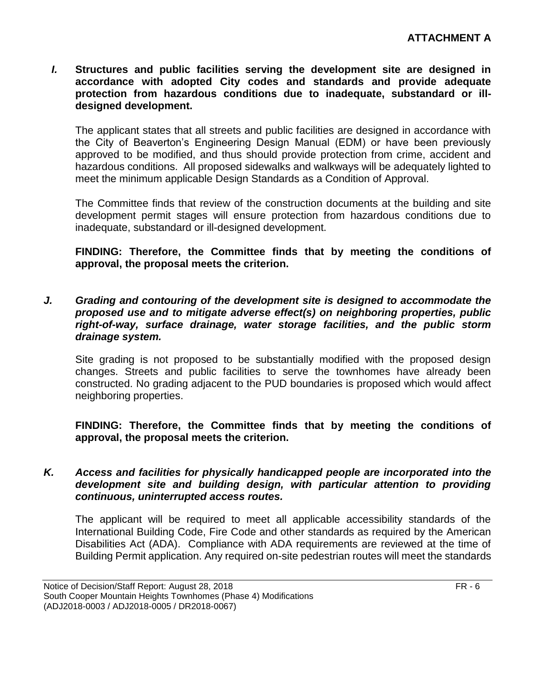*I.* **Structures and public facilities serving the development site are designed in accordance with adopted City codes and standards and provide adequate protection from hazardous conditions due to inadequate, substandard or illdesigned development.**

The applicant states that all streets and public facilities are designed in accordance with the City of Beaverton's Engineering Design Manual (EDM) or have been previously approved to be modified, and thus should provide protection from crime, accident and hazardous conditions. All proposed sidewalks and walkways will be adequately lighted to meet the minimum applicable Design Standards as a Condition of Approval.

The Committee finds that review of the construction documents at the building and site development permit stages will ensure protection from hazardous conditions due to inadequate, substandard or ill-designed development.

**FINDING: Therefore, the Committee finds that by meeting the conditions of approval, the proposal meets the criterion.** 

*J. Grading and contouring of the development site is designed to accommodate the proposed use and to mitigate adverse effect(s) on neighboring properties, public right-of-way, surface drainage, water storage facilities, and the public storm drainage system.*

Site grading is not proposed to be substantially modified with the proposed design changes. Streets and public facilities to serve the townhomes have already been constructed. No grading adjacent to the PUD boundaries is proposed which would affect neighboring properties.

**FINDING: Therefore, the Committee finds that by meeting the conditions of approval, the proposal meets the criterion.** 

#### *K. Access and facilities for physically handicapped people are incorporated into the development site and building design, with particular attention to providing continuous, uninterrupted access routes.*

The applicant will be required to meet all applicable accessibility standards of the International Building Code, Fire Code and other standards as required by the American Disabilities Act (ADA). Compliance with ADA requirements are reviewed at the time of Building Permit application. Any required on-site pedestrian routes will meet the standards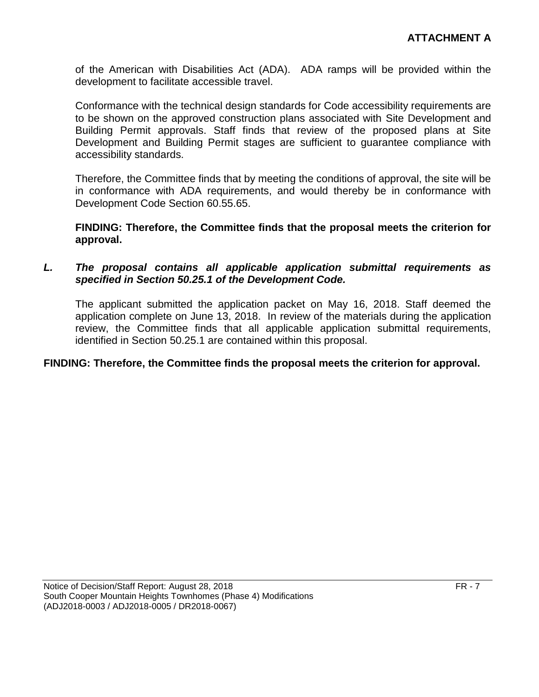of the American with Disabilities Act (ADA). ADA ramps will be provided within the development to facilitate accessible travel.

Conformance with the technical design standards for Code accessibility requirements are to be shown on the approved construction plans associated with Site Development and Building Permit approvals. Staff finds that review of the proposed plans at Site Development and Building Permit stages are sufficient to guarantee compliance with accessibility standards.

Therefore, the Committee finds that by meeting the conditions of approval, the site will be in conformance with ADA requirements, and would thereby be in conformance with Development Code Section 60.55.65.

**FINDING: Therefore, the Committee finds that the proposal meets the criterion for approval.**

#### *L. The proposal contains all applicable application submittal requirements as specified in Section 50.25.1 of the Development Code.*

The applicant submitted the application packet on May 16, 2018. Staff deemed the application complete on June 13, 2018. In review of the materials during the application review, the Committee finds that all applicable application submittal requirements, identified in Section 50.25.1 are contained within this proposal.

#### **FINDING: Therefore, the Committee finds the proposal meets the criterion for approval.**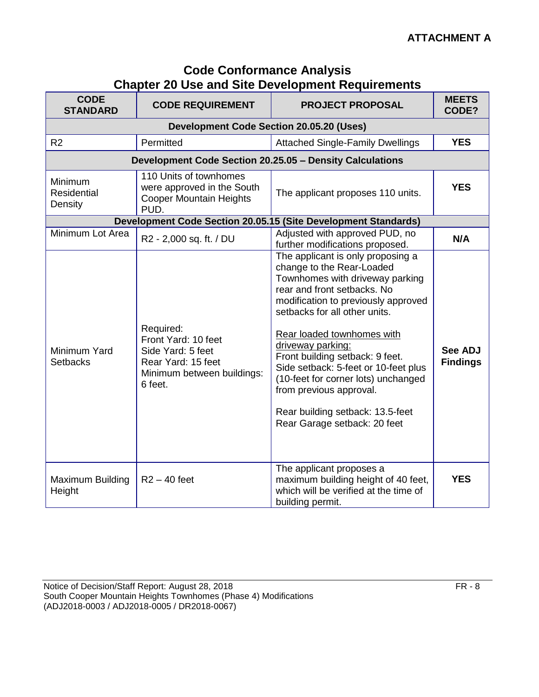| <b>Code Conformance Analysis</b>                        |  |
|---------------------------------------------------------|--|
| <b>Chapter 20 Use and Site Development Requirements</b> |  |

| <b>CODE</b><br><b>STANDARD</b>    | <b>CODE REQUIREMENT</b>                                                                                              | <b>PROJECT PROPOSAL</b>                                                                                                                                                                                                                                                                                                                                                                                                                                                      | <b>MEETS</b><br>CODE?             |
|-----------------------------------|----------------------------------------------------------------------------------------------------------------------|------------------------------------------------------------------------------------------------------------------------------------------------------------------------------------------------------------------------------------------------------------------------------------------------------------------------------------------------------------------------------------------------------------------------------------------------------------------------------|-----------------------------------|
|                                   | <b>Development Code Section 20.05.20 (Uses)</b>                                                                      |                                                                                                                                                                                                                                                                                                                                                                                                                                                                              |                                   |
| R <sub>2</sub>                    | Permitted                                                                                                            | <b>Attached Single-Family Dwellings</b>                                                                                                                                                                                                                                                                                                                                                                                                                                      | <b>YES</b>                        |
|                                   | Development Code Section 20.25.05 - Density Calculations                                                             |                                                                                                                                                                                                                                                                                                                                                                                                                                                                              |                                   |
| Minimum<br>Residential<br>Density | 110 Units of townhomes<br>were approved in the South<br><b>Cooper Mountain Heights</b><br>PUD.                       | The applicant proposes 110 units.                                                                                                                                                                                                                                                                                                                                                                                                                                            | <b>YES</b>                        |
|                                   |                                                                                                                      | Development Code Section 20.05.15 (Site Development Standards)                                                                                                                                                                                                                                                                                                                                                                                                               |                                   |
| Minimum Lot Area                  | R2 - 2,000 sq. ft. / DU                                                                                              | Adjusted with approved PUD, no<br>further modifications proposed.                                                                                                                                                                                                                                                                                                                                                                                                            | N/A                               |
| Minimum Yard<br><b>Setbacks</b>   | Required:<br>Front Yard: 10 feet<br>Side Yard: 5 feet<br>Rear Yard: 15 feet<br>Minimum between buildings:<br>6 feet. | The applicant is only proposing a<br>change to the Rear-Loaded<br>Townhomes with driveway parking<br>rear and front setbacks. No<br>modification to previously approved<br>setbacks for all other units.<br>Rear loaded townhomes with<br>driveway parking:<br>Front building setback: 9 feet.<br>Side setback: 5-feet or 10-feet plus<br>(10-feet for corner lots) unchanged<br>from previous approval.<br>Rear building setback: 13.5-feet<br>Rear Garage setback: 20 feet | <b>See ADJ</b><br><b>Findings</b> |
| Maximum Building<br>Height        | $R2 - 40$ feet                                                                                                       | The applicant proposes a<br>maximum building height of 40 feet,<br>which will be verified at the time of<br>building permit.                                                                                                                                                                                                                                                                                                                                                 | <b>YES</b>                        |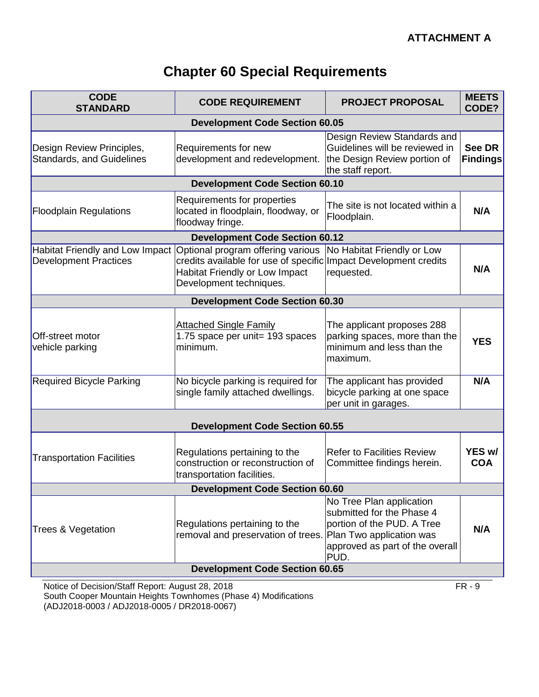# **Chapter 60 Special Requirements**

| <b>CODE</b><br><b>STANDARD</b>                                  | <b>CODE REQUIREMENT</b>                                                                                                                                            | <b>PROJECT PROPOSAL</b>                                                                                                        | <b>MEETS</b><br>CODE?     |
|-----------------------------------------------------------------|--------------------------------------------------------------------------------------------------------------------------------------------------------------------|--------------------------------------------------------------------------------------------------------------------------------|---------------------------|
|                                                                 | <b>Development Code Section 60.05</b>                                                                                                                              |                                                                                                                                |                           |
| Design Review Principles,<br><b>Standards, and Guidelines</b>   | Requirements for new<br>development and redevelopment.                                                                                                             | Design Review Standards and<br>Guidelines will be reviewed in<br>the Design Review portion of<br>the staff report.             | See DR<br><b>Findings</b> |
|                                                                 | <b>Development Code Section 60.10</b>                                                                                                                              |                                                                                                                                |                           |
| <b>Floodplain Regulations</b>                                   | Requirements for properties<br>located in floodplain, floodway, or<br>floodway fringe.                                                                             | The site is not located within a<br>Floodplain.                                                                                | N/A                       |
|                                                                 | <b>Development Code Section 60.12</b>                                                                                                                              |                                                                                                                                |                           |
| Habitat Friendly and Low Impact<br><b>Development Practices</b> | Optional program offering various<br>credits available for use of specific Impact Development credits<br>Habitat Friendly or Low Impact<br>Development techniques. | No Habitat Friendly or Low<br>requested.                                                                                       | N/A                       |
|                                                                 | <b>Development Code Section 60.30</b>                                                                                                                              |                                                                                                                                |                           |
| Off-street motor<br>vehicle parking                             | <b>Attached Single Family</b><br>1.75 space per unit= 193 spaces<br>minimum.                                                                                       | The applicant proposes 288<br>parking spaces, more than the<br>minimum and less than the<br>maximum.                           | <b>YES</b>                |
| <b>Required Bicycle Parking</b>                                 | No bicycle parking is required for<br>single family attached dwellings.                                                                                            | The applicant has provided<br>bicycle parking at one space<br>per unit in garages.                                             | N/A                       |
|                                                                 |                                                                                                                                                                    |                                                                                                                                |                           |
|                                                                 | <b>Development Code Section 60.55</b>                                                                                                                              |                                                                                                                                |                           |
| <b>Transportation Facilities</b>                                | Regulations pertaining to the<br>construction or reconstruction of<br>transportation facilities.                                                                   | <b>Refer to Facilities Review</b><br>Committee findings herein.                                                                | YES w/<br><b>COA</b>      |
| <b>Development Code Section 60.60</b>                           |                                                                                                                                                                    |                                                                                                                                |                           |
| <b>Trees &amp; Vegetation</b>                                   | Regulations pertaining to the<br>removal and preservation of trees. Plan Two application was                                                                       | No Tree Plan application<br>submitted for the Phase 4<br>portion of the PUD. A Tree<br>approved as part of the overall<br>PUD. | N/A                       |
|                                                                 | <b>Development Code Section 60.65</b>                                                                                                                              |                                                                                                                                |                           |

Notice of Decision/Staff Report: August 28, 2018 **FR** - 9 South Cooper Mountain Heights Townhomes (Phase 4) Modifications (ADJ2018-0003 / ADJ2018-0005 / DR2018-0067)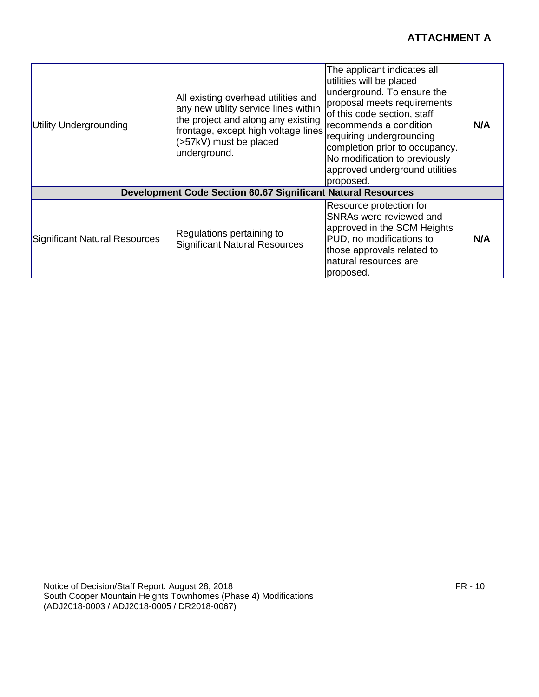| Utility Undergrounding        | All existing overhead utilities and<br>any new utility service lines within<br>the project and along any existing<br>frontage, except high voltage lines<br>(>57kV) must be placed<br>underground. | The applicant indicates all<br>utilities will be placed<br>underground. To ensure the<br>proposal meets requirements<br>of this code section, staff<br>recommends a condition<br>requiring undergrounding<br>completion prior to occupancy.<br>No modification to previously<br>approved underground utilities<br>proposed. | N/A |
|-------------------------------|----------------------------------------------------------------------------------------------------------------------------------------------------------------------------------------------------|-----------------------------------------------------------------------------------------------------------------------------------------------------------------------------------------------------------------------------------------------------------------------------------------------------------------------------|-----|
|                               | <b>Development Code Section 60.67 Significant Natural Resources</b>                                                                                                                                |                                                                                                                                                                                                                                                                                                                             |     |
| Significant Natural Resources | Regulations pertaining to<br><b>Significant Natural Resources</b>                                                                                                                                  | Resource protection for<br><b>SNRAs were reviewed and</b><br>approved in the SCM Heights<br>PUD, no modifications to<br>those approvals related to<br>natural resources are<br>proposed.                                                                                                                                    | N/A |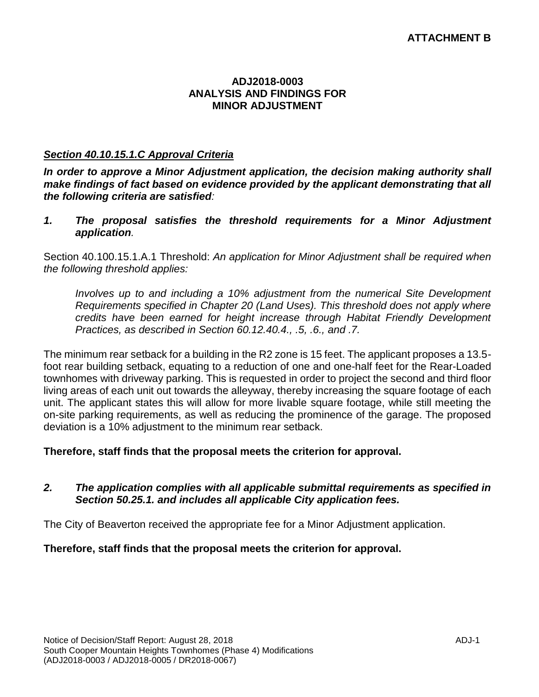#### **ADJ2018-0003 ANALYSIS AND FINDINGS FOR MINOR ADJUSTMENT**

#### *Section 40.10.15.1.C Approval Criteria*

*In order to approve a Minor Adjustment application, the decision making authority shall make findings of fact based on evidence provided by the applicant demonstrating that all the following criteria are satisfied:*

*1. The proposal satisfies the threshold requirements for a Minor Adjustment application.*

Section 40.100.15.1.A.1 Threshold: *An application for Minor Adjustment shall be required when the following threshold applies:*

*Involves up to and including a 10% adjustment from the numerical Site Development Requirements specified in Chapter 20 (Land Uses). This threshold does not apply where credits have been earned for height increase through Habitat Friendly Development Practices, as described in Section 60.12.40.4., .5, .6., and .7.*

The minimum rear setback for a building in the R2 zone is 15 feet. The applicant proposes a 13.5 foot rear building setback, equating to a reduction of one and one-half feet for the Rear-Loaded townhomes with driveway parking. This is requested in order to project the second and third floor living areas of each unit out towards the alleyway, thereby increasing the square footage of each unit. The applicant states this will allow for more livable square footage, while still meeting the on-site parking requirements, as well as reducing the prominence of the garage. The proposed deviation is a 10% adjustment to the minimum rear setback.

#### **Therefore, staff finds that the proposal meets the criterion for approval.**

#### *2. The application complies with all applicable submittal requirements as specified in Section 50.25.1. and includes all applicable City application fees.*

The City of Beaverton received the appropriate fee for a Minor Adjustment application.

#### **Therefore, staff finds that the proposal meets the criterion for approval.**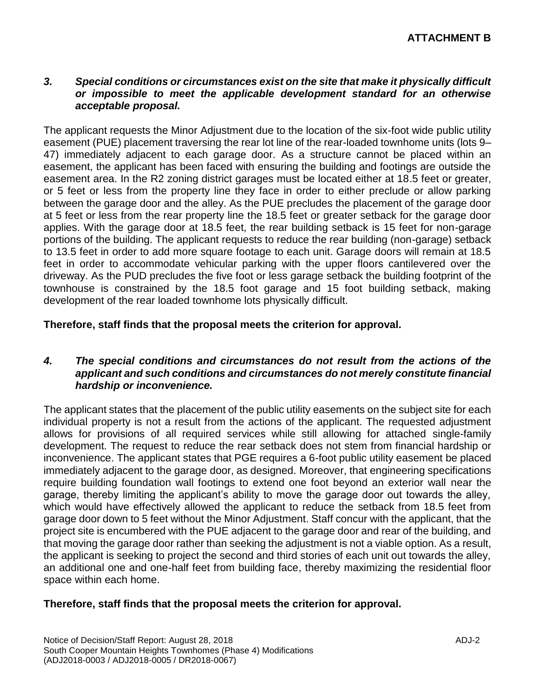#### *3. Special conditions or circumstances exist on the site that make it physically difficult or impossible to meet the applicable development standard for an otherwise acceptable proposal.*

The applicant requests the Minor Adjustment due to the location of the six-foot wide public utility easement (PUE) placement traversing the rear lot line of the rear-loaded townhome units (lots 9– 47) immediately adjacent to each garage door. As a structure cannot be placed within an easement, the applicant has been faced with ensuring the building and footings are outside the easement area. In the R2 zoning district garages must be located either at 18.5 feet or greater, or 5 feet or less from the property line they face in order to either preclude or allow parking between the garage door and the alley. As the PUE precludes the placement of the garage door at 5 feet or less from the rear property line the 18.5 feet or greater setback for the garage door applies. With the garage door at 18.5 feet, the rear building setback is 15 feet for non-garage portions of the building. The applicant requests to reduce the rear building (non-garage) setback to 13.5 feet in order to add more square footage to each unit. Garage doors will remain at 18.5 feet in order to accommodate vehicular parking with the upper floors cantilevered over the driveway. As the PUD precludes the five foot or less garage setback the building footprint of the townhouse is constrained by the 18.5 foot garage and 15 foot building setback, making development of the rear loaded townhome lots physically difficult.

#### **Therefore, staff finds that the proposal meets the criterion for approval.**

#### *4. The special conditions and circumstances do not result from the actions of the applicant and such conditions and circumstances do not merely constitute financial hardship or inconvenience.*

The applicant states that the placement of the public utility easements on the subject site for each individual property is not a result from the actions of the applicant. The requested adjustment allows for provisions of all required services while still allowing for attached single-family development. The request to reduce the rear setback does not stem from financial hardship or inconvenience. The applicant states that PGE requires a 6-foot public utility easement be placed immediately adjacent to the garage door, as designed. Moreover, that engineering specifications require building foundation wall footings to extend one foot beyond an exterior wall near the garage, thereby limiting the applicant's ability to move the garage door out towards the alley, which would have effectively allowed the applicant to reduce the setback from 18.5 feet from garage door down to 5 feet without the Minor Adjustment. Staff concur with the applicant, that the project site is encumbered with the PUE adjacent to the garage door and rear of the building, and that moving the garage door rather than seeking the adjustment is not a viable option. As a result, the applicant is seeking to project the second and third stories of each unit out towards the alley, an additional one and one-half feet from building face, thereby maximizing the residential floor space within each home.

#### **Therefore, staff finds that the proposal meets the criterion for approval.**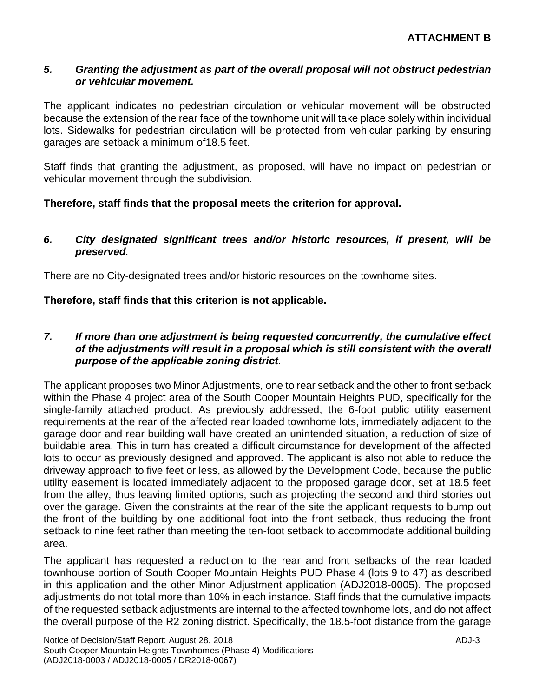#### *5. Granting the adjustment as part of the overall proposal will not obstruct pedestrian or vehicular movement.*

The applicant indicates no pedestrian circulation or vehicular movement will be obstructed because the extension of the rear face of the townhome unit will take place solely within individual lots. Sidewalks for pedestrian circulation will be protected from vehicular parking by ensuring garages are setback a minimum of18.5 feet.

Staff finds that granting the adjustment, as proposed, will have no impact on pedestrian or vehicular movement through the subdivision.

#### **Therefore, staff finds that the proposal meets the criterion for approval.**

#### *6. City designated significant trees and/or historic resources, if present, will be preserved.*

There are no City-designated trees and/or historic resources on the townhome sites.

**Therefore, staff finds that this criterion is not applicable.**

#### *7. If more than one adjustment is being requested concurrently, the cumulative effect of the adjustments will result in a proposal which is still consistent with the overall purpose of the applicable zoning district.*

The applicant proposes two Minor Adjustments, one to rear setback and the other to front setback within the Phase 4 project area of the South Cooper Mountain Heights PUD, specifically for the single-family attached product. As previously addressed, the 6-foot public utility easement requirements at the rear of the affected rear loaded townhome lots, immediately adjacent to the garage door and rear building wall have created an unintended situation, a reduction of size of buildable area. This in turn has created a difficult circumstance for development of the affected lots to occur as previously designed and approved. The applicant is also not able to reduce the driveway approach to five feet or less, as allowed by the Development Code, because the public utility easement is located immediately adjacent to the proposed garage door, set at 18.5 feet from the alley, thus leaving limited options, such as projecting the second and third stories out over the garage. Given the constraints at the rear of the site the applicant requests to bump out the front of the building by one additional foot into the front setback, thus reducing the front setback to nine feet rather than meeting the ten-foot setback to accommodate additional building area.

The applicant has requested a reduction to the rear and front setbacks of the rear loaded townhouse portion of South Cooper Mountain Heights PUD Phase 4 (lots 9 to 47) as described in this application and the other Minor Adjustment application (ADJ2018-0005). The proposed adjustments do not total more than 10% in each instance. Staff finds that the cumulative impacts of the requested setback adjustments are internal to the affected townhome lots, and do not affect the overall purpose of the R2 zoning district. Specifically, the 18.5-foot distance from the garage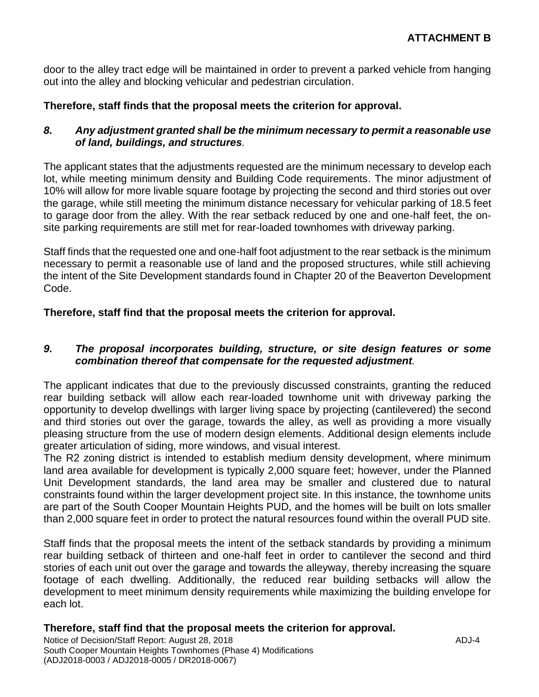door to the alley tract edge will be maintained in order to prevent a parked vehicle from hanging out into the alley and blocking vehicular and pedestrian circulation.

#### **Therefore, staff finds that the proposal meets the criterion for approval.**

#### *8. Any adjustment granted shall be the minimum necessary to permit a reasonable use of land, buildings, and structures.*

The applicant states that the adjustments requested are the minimum necessary to develop each lot, while meeting minimum density and Building Code requirements. The minor adjustment of 10% will allow for more livable square footage by projecting the second and third stories out over the garage, while still meeting the minimum distance necessary for vehicular parking of 18.5 feet to garage door from the alley. With the rear setback reduced by one and one-half feet, the onsite parking requirements are still met for rear-loaded townhomes with driveway parking.

Staff finds that the requested one and one-half foot adjustment to the rear setback is the minimum necessary to permit a reasonable use of land and the proposed structures, while still achieving the intent of the Site Development standards found in Chapter 20 of the Beaverton Development Code.

#### **Therefore, staff find that the proposal meets the criterion for approval.**

#### *9. The proposal incorporates building, structure, or site design features or some combination thereof that compensate for the requested adjustment.*

The applicant indicates that due to the previously discussed constraints, granting the reduced rear building setback will allow each rear-loaded townhome unit with driveway parking the opportunity to develop dwellings with larger living space by projecting (cantilevered) the second and third stories out over the garage, towards the alley, as well as providing a more visually pleasing structure from the use of modern design elements. Additional design elements include greater articulation of siding, more windows, and visual interest.

The R2 zoning district is intended to establish medium density development, where minimum land area available for development is typically 2,000 square feet; however, under the Planned Unit Development standards, the land area may be smaller and clustered due to natural constraints found within the larger development project site. In this instance, the townhome units are part of the South Cooper Mountain Heights PUD, and the homes will be built on lots smaller than 2,000 square feet in order to protect the natural resources found within the overall PUD site.

Staff finds that the proposal meets the intent of the setback standards by providing a minimum rear building setback of thirteen and one-half feet in order to cantilever the second and third stories of each unit out over the garage and towards the alleyway, thereby increasing the square footage of each dwelling. Additionally, the reduced rear building setbacks will allow the development to meet minimum density requirements while maximizing the building envelope for each lot.

#### **Therefore, staff find that the proposal meets the criterion for approval.**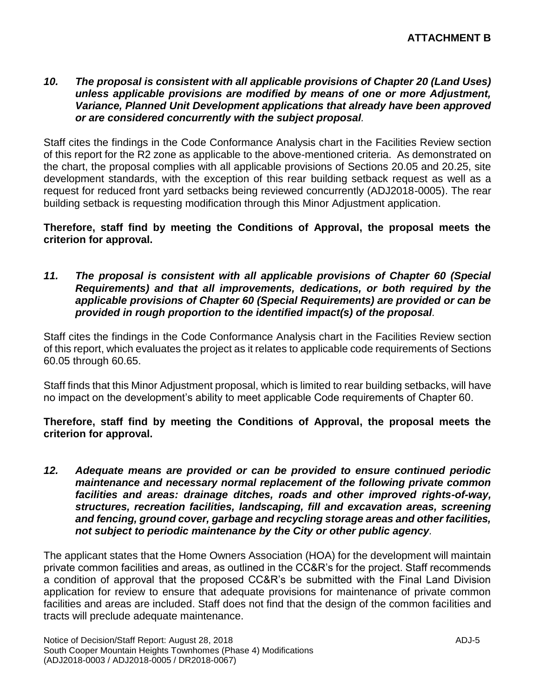#### *10. The proposal is consistent with all applicable provisions of Chapter 20 (Land Uses) unless applicable provisions are modified by means of one or more Adjustment, Variance, Planned Unit Development applications that already have been approved or are considered concurrently with the subject proposal.*

Staff cites the findings in the Code Conformance Analysis chart in the Facilities Review section of this report for the R2 zone as applicable to the above-mentioned criteria. As demonstrated on the chart, the proposal complies with all applicable provisions of Sections 20.05 and 20.25, site development standards, with the exception of this rear building setback request as well as a request for reduced front yard setbacks being reviewed concurrently (ADJ2018-0005). The rear building setback is requesting modification through this Minor Adjustment application.

**Therefore, staff find by meeting the Conditions of Approval, the proposal meets the criterion for approval.**

*11. The proposal is consistent with all applicable provisions of Chapter 60 (Special Requirements) and that all improvements, dedications, or both required by the applicable provisions of Chapter 60 (Special Requirements) are provided or can be provided in rough proportion to the identified impact(s) of the proposal.*

Staff cites the findings in the Code Conformance Analysis chart in the Facilities Review section of this report, which evaluates the project as it relates to applicable code requirements of Sections 60.05 through 60.65.

Staff finds that this Minor Adjustment proposal, which is limited to rear building setbacks, will have no impact on the development's ability to meet applicable Code requirements of Chapter 60.

**Therefore, staff find by meeting the Conditions of Approval, the proposal meets the criterion for approval.**

*12. Adequate means are provided or can be provided to ensure continued periodic maintenance and necessary normal replacement of the following private common facilities and areas: drainage ditches, roads and other improved rights-of-way, structures, recreation facilities, landscaping, fill and excavation areas, screening and fencing, ground cover, garbage and recycling storage areas and other facilities, not subject to periodic maintenance by the City or other public agency.*

The applicant states that the Home Owners Association (HOA) for the development will maintain private common facilities and areas, as outlined in the CC&R's for the project. Staff recommends a condition of approval that the proposed CC&R's be submitted with the Final Land Division application for review to ensure that adequate provisions for maintenance of private common facilities and areas are included. Staff does not find that the design of the common facilities and tracts will preclude adequate maintenance.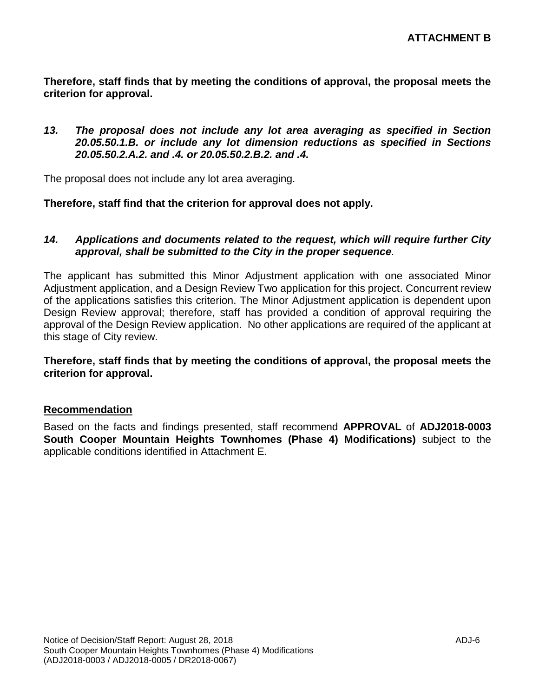**Therefore, staff finds that by meeting the conditions of approval, the proposal meets the criterion for approval.**

#### *13. The proposal does not include any lot area averaging as specified in Section 20.05.50.1.B. or include any lot dimension reductions as specified in Sections 20.05.50.2.A.2. and .4. or 20.05.50.2.B.2. and .4.*

The proposal does not include any lot area averaging.

#### **Therefore, staff find that the criterion for approval does not apply.**

#### *14. Applications and documents related to the request, which will require further City approval, shall be submitted to the City in the proper sequence.*

The applicant has submitted this Minor Adjustment application with one associated Minor Adjustment application, and a Design Review Two application for this project. Concurrent review of the applications satisfies this criterion. The Minor Adjustment application is dependent upon Design Review approval; therefore, staff has provided a condition of approval requiring the approval of the Design Review application. No other applications are required of the applicant at this stage of City review.

**Therefore, staff finds that by meeting the conditions of approval, the proposal meets the criterion for approval.**

#### **Recommendation**

Based on the facts and findings presented, staff recommend **APPROVAL** of **ADJ2018-0003 South Cooper Mountain Heights Townhomes (Phase 4) Modifications)** subject to the applicable conditions identified in Attachment E.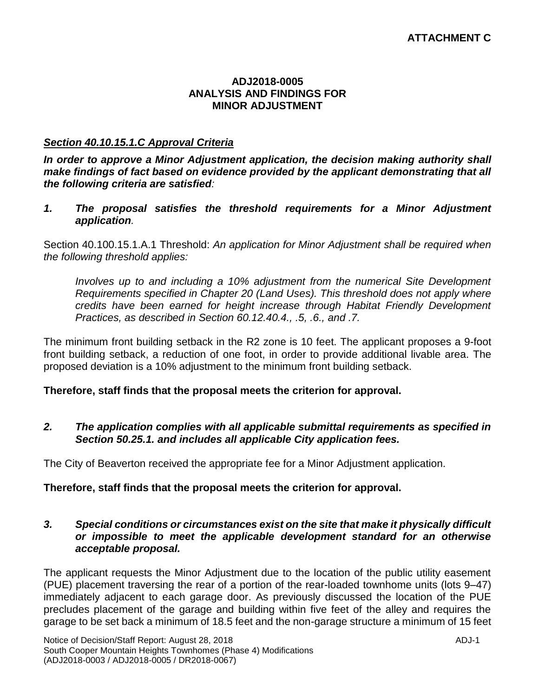#### **ADJ2018-0005 ANALYSIS AND FINDINGS FOR MINOR ADJUSTMENT**

#### *Section 40.10.15.1.C Approval Criteria*

*In order to approve a Minor Adjustment application, the decision making authority shall make findings of fact based on evidence provided by the applicant demonstrating that all the following criteria are satisfied:*

*1. The proposal satisfies the threshold requirements for a Minor Adjustment application.*

Section 40.100.15.1.A.1 Threshold: *An application for Minor Adjustment shall be required when the following threshold applies:*

*Involves up to and including a 10% adjustment from the numerical Site Development Requirements specified in Chapter 20 (Land Uses). This threshold does not apply where credits have been earned for height increase through Habitat Friendly Development Practices, as described in Section 60.12.40.4., .5, .6., and .7.*

The minimum front building setback in the R2 zone is 10 feet. The applicant proposes a 9-foot front building setback, a reduction of one foot, in order to provide additional livable area. The proposed deviation is a 10% adjustment to the minimum front building setback.

#### **Therefore, staff finds that the proposal meets the criterion for approval.**

#### *2. The application complies with all applicable submittal requirements as specified in Section 50.25.1. and includes all applicable City application fees.*

The City of Beaverton received the appropriate fee for a Minor Adjustment application.

#### **Therefore, staff finds that the proposal meets the criterion for approval.**

#### *3. Special conditions or circumstances exist on the site that make it physically difficult or impossible to meet the applicable development standard for an otherwise acceptable proposal.*

The applicant requests the Minor Adjustment due to the location of the public utility easement (PUE) placement traversing the rear of a portion of the rear-loaded townhome units (lots 9–47) immediately adjacent to each garage door. As previously discussed the location of the PUE precludes placement of the garage and building within five feet of the alley and requires the garage to be set back a minimum of 18.5 feet and the non-garage structure a minimum of 15 feet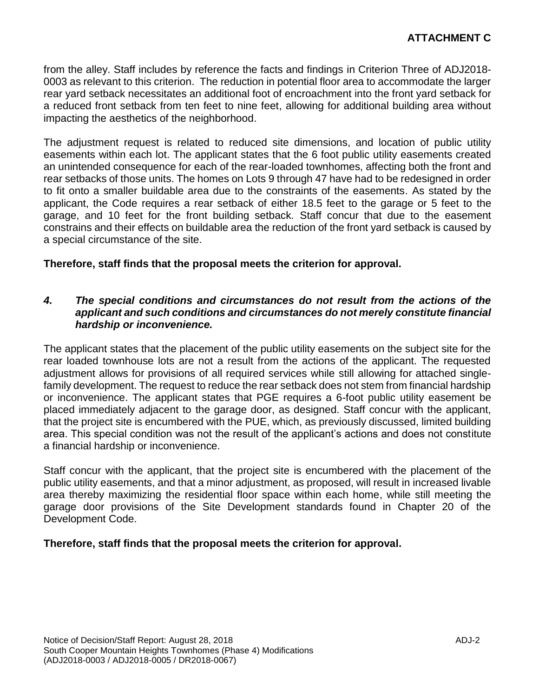from the alley. Staff includes by reference the facts and findings in Criterion Three of ADJ2018- 0003 as relevant to this criterion. The reduction in potential floor area to accommodate the larger rear yard setback necessitates an additional foot of encroachment into the front yard setback for a reduced front setback from ten feet to nine feet, allowing for additional building area without impacting the aesthetics of the neighborhood.

The adjustment request is related to reduced site dimensions, and location of public utility easements within each lot. The applicant states that the 6 foot public utility easements created an unintended consequence for each of the rear-loaded townhomes, affecting both the front and rear setbacks of those units. The homes on Lots 9 through 47 have had to be redesigned in order to fit onto a smaller buildable area due to the constraints of the easements. As stated by the applicant, the Code requires a rear setback of either 18.5 feet to the garage or 5 feet to the garage, and 10 feet for the front building setback. Staff concur that due to the easement constrains and their effects on buildable area the reduction of the front yard setback is caused by a special circumstance of the site.

#### **Therefore, staff finds that the proposal meets the criterion for approval.**

#### *4. The special conditions and circumstances do not result from the actions of the applicant and such conditions and circumstances do not merely constitute financial hardship or inconvenience.*

The applicant states that the placement of the public utility easements on the subject site for the rear loaded townhouse lots are not a result from the actions of the applicant. The requested adjustment allows for provisions of all required services while still allowing for attached singlefamily development. The request to reduce the rear setback does not stem from financial hardship or inconvenience. The applicant states that PGE requires a 6-foot public utility easement be placed immediately adjacent to the garage door, as designed. Staff concur with the applicant, that the project site is encumbered with the PUE, which, as previously discussed, limited building area. This special condition was not the result of the applicant's actions and does not constitute a financial hardship or inconvenience.

Staff concur with the applicant, that the project site is encumbered with the placement of the public utility easements, and that a minor adjustment, as proposed, will result in increased livable area thereby maximizing the residential floor space within each home, while still meeting the garage door provisions of the Site Development standards found in Chapter 20 of the Development Code.

#### **Therefore, staff finds that the proposal meets the criterion for approval.**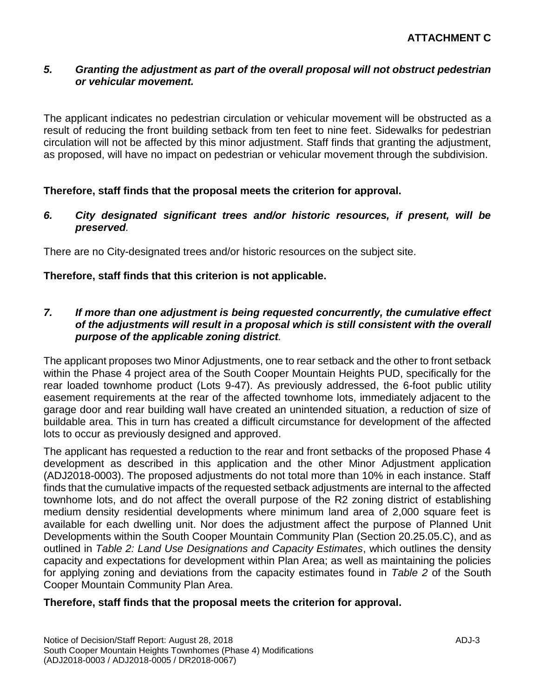#### *5. Granting the adjustment as part of the overall proposal will not obstruct pedestrian or vehicular movement.*

The applicant indicates no pedestrian circulation or vehicular movement will be obstructed as a result of reducing the front building setback from ten feet to nine feet. Sidewalks for pedestrian circulation will not be affected by this minor adjustment. Staff finds that granting the adjustment, as proposed, will have no impact on pedestrian or vehicular movement through the subdivision.

#### **Therefore, staff finds that the proposal meets the criterion for approval.**

*6. City designated significant trees and/or historic resources, if present, will be preserved.*

There are no City-designated trees and/or historic resources on the subject site.

#### **Therefore, staff finds that this criterion is not applicable.**

#### *7. If more than one adjustment is being requested concurrently, the cumulative effect of the adjustments will result in a proposal which is still consistent with the overall purpose of the applicable zoning district.*

The applicant proposes two Minor Adjustments, one to rear setback and the other to front setback within the Phase 4 project area of the South Cooper Mountain Heights PUD, specifically for the rear loaded townhome product (Lots 9-47). As previously addressed, the 6-foot public utility easement requirements at the rear of the affected townhome lots, immediately adjacent to the garage door and rear building wall have created an unintended situation, a reduction of size of buildable area. This in turn has created a difficult circumstance for development of the affected lots to occur as previously designed and approved.

The applicant has requested a reduction to the rear and front setbacks of the proposed Phase 4 development as described in this application and the other Minor Adjustment application (ADJ2018-0003). The proposed adjustments do not total more than 10% in each instance. Staff finds that the cumulative impacts of the requested setback adjustments are internal to the affected townhome lots, and do not affect the overall purpose of the R2 zoning district of establishing medium density residential developments where minimum land area of 2,000 square feet is available for each dwelling unit. Nor does the adjustment affect the purpose of Planned Unit Developments within the South Cooper Mountain Community Plan (Section 20.25.05.C), and as outlined in *Table 2: Land Use Designations and Capacity Estimates*, which outlines the density capacity and expectations for development within Plan Area; as well as maintaining the policies for applying zoning and deviations from the capacity estimates found in *Table 2* of the South Cooper Mountain Community Plan Area.

#### **Therefore, staff finds that the proposal meets the criterion for approval.**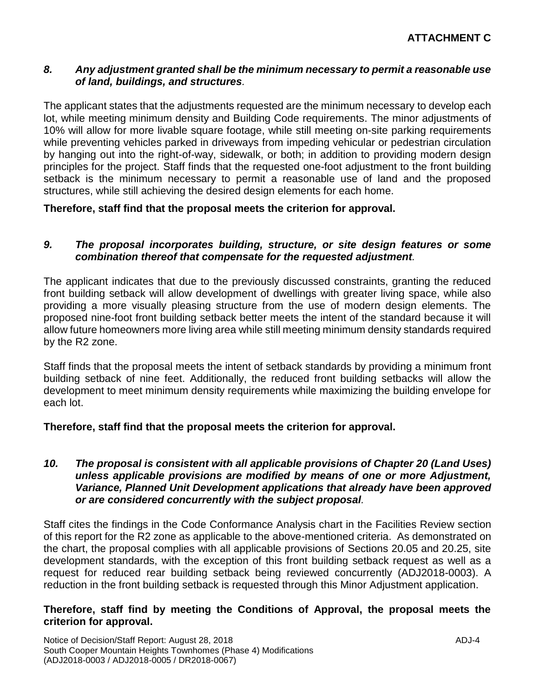#### *8. Any adjustment granted shall be the minimum necessary to permit a reasonable use of land, buildings, and structures.*

The applicant states that the adjustments requested are the minimum necessary to develop each lot, while meeting minimum density and Building Code requirements. The minor adjustments of 10% will allow for more livable square footage, while still meeting on-site parking requirements while preventing vehicles parked in driveways from impeding vehicular or pedestrian circulation by hanging out into the right-of-way, sidewalk, or both; in addition to providing modern design principles for the project. Staff finds that the requested one-foot adjustment to the front building setback is the minimum necessary to permit a reasonable use of land and the proposed structures, while still achieving the desired design elements for each home.

**Therefore, staff find that the proposal meets the criterion for approval.**

#### *9. The proposal incorporates building, structure, or site design features or some combination thereof that compensate for the requested adjustment.*

The applicant indicates that due to the previously discussed constraints, granting the reduced front building setback will allow development of dwellings with greater living space, while also providing a more visually pleasing structure from the use of modern design elements. The proposed nine-foot front building setback better meets the intent of the standard because it will allow future homeowners more living area while still meeting minimum density standards required by the R2 zone.

Staff finds that the proposal meets the intent of setback standards by providing a minimum front building setback of nine feet. Additionally, the reduced front building setbacks will allow the development to meet minimum density requirements while maximizing the building envelope for each lot.

#### **Therefore, staff find that the proposal meets the criterion for approval.**

#### *10. The proposal is consistent with all applicable provisions of Chapter 20 (Land Uses) unless applicable provisions are modified by means of one or more Adjustment, Variance, Planned Unit Development applications that already have been approved or are considered concurrently with the subject proposal.*

Staff cites the findings in the Code Conformance Analysis chart in the Facilities Review section of this report for the R2 zone as applicable to the above-mentioned criteria. As demonstrated on the chart, the proposal complies with all applicable provisions of Sections 20.05 and 20.25, site development standards, with the exception of this front building setback request as well as a request for reduced rear building setback being reviewed concurrently (ADJ2018-0003). A reduction in the front building setback is requested through this Minor Adjustment application.

#### **Therefore, staff find by meeting the Conditions of Approval, the proposal meets the criterion for approval.**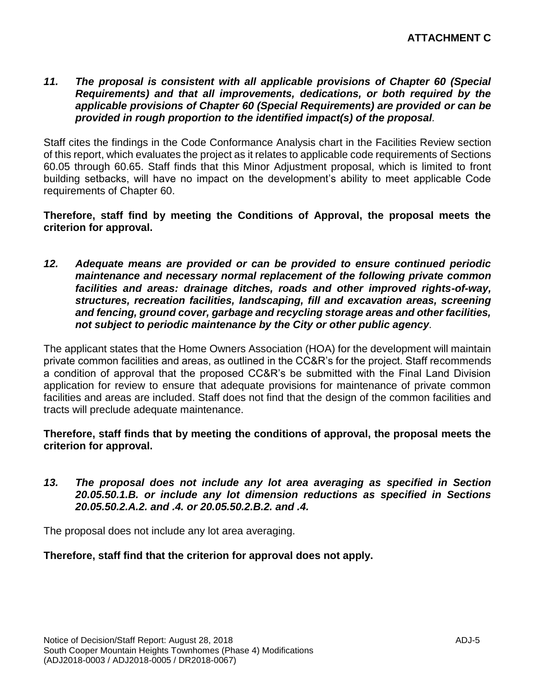*11. The proposal is consistent with all applicable provisions of Chapter 60 (Special Requirements) and that all improvements, dedications, or both required by the applicable provisions of Chapter 60 (Special Requirements) are provided or can be provided in rough proportion to the identified impact(s) of the proposal.*

Staff cites the findings in the Code Conformance Analysis chart in the Facilities Review section of this report, which evaluates the project as it relates to applicable code requirements of Sections 60.05 through 60.65. Staff finds that this Minor Adjustment proposal, which is limited to front building setbacks, will have no impact on the development's ability to meet applicable Code requirements of Chapter 60.

**Therefore, staff find by meeting the Conditions of Approval, the proposal meets the criterion for approval.**

*12. Adequate means are provided or can be provided to ensure continued periodic maintenance and necessary normal replacement of the following private common facilities and areas: drainage ditches, roads and other improved rights-of-way, structures, recreation facilities, landscaping, fill and excavation areas, screening and fencing, ground cover, garbage and recycling storage areas and other facilities, not subject to periodic maintenance by the City or other public agency.*

The applicant states that the Home Owners Association (HOA) for the development will maintain private common facilities and areas, as outlined in the CC&R's for the project. Staff recommends a condition of approval that the proposed CC&R's be submitted with the Final Land Division application for review to ensure that adequate provisions for maintenance of private common facilities and areas are included. Staff does not find that the design of the common facilities and tracts will preclude adequate maintenance.

**Therefore, staff finds that by meeting the conditions of approval, the proposal meets the criterion for approval.**

*13. The proposal does not include any lot area averaging as specified in Section 20.05.50.1.B. or include any lot dimension reductions as specified in Sections 20.05.50.2.A.2. and .4. or 20.05.50.2.B.2. and .4.*

The proposal does not include any lot area averaging.

**Therefore, staff find that the criterion for approval does not apply.**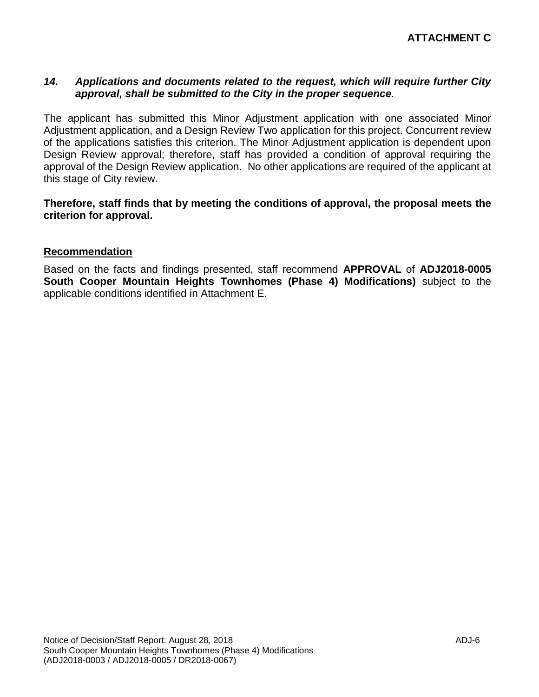#### *14. Applications and documents related to the request, which will require further City approval, shall be submitted to the City in the proper sequence.*

The applicant has submitted this Minor Adjustment application with one associated Minor Adjustment application, and a Design Review Two application for this project. Concurrent review of the applications satisfies this criterion. The Minor Adjustment application is dependent upon Design Review approval; therefore, staff has provided a condition of approval requiring the approval of the Design Review application. No other applications are required of the applicant at this stage of City review.

**Therefore, staff finds that by meeting the conditions of approval, the proposal meets the criterion for approval.**

#### **Recommendation**

Based on the facts and findings presented, staff recommend **APPROVAL** of **ADJ2018-0005 South Cooper Mountain Heights Townhomes (Phase 4) Modifications)** subject to the applicable conditions identified in Attachment E.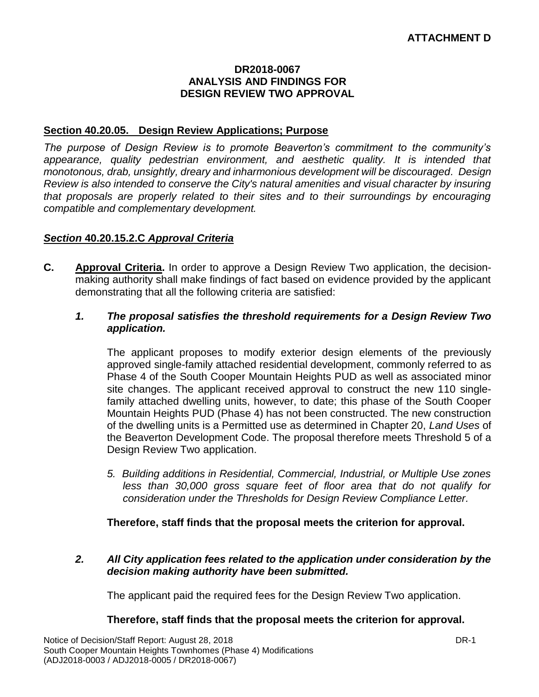#### **DR2018-0067 ANALYSIS AND FINDINGS FOR DESIGN REVIEW TWO APPROVAL**

#### **Section 40.20.05. Design Review Applications; Purpose**

*The purpose of Design Review is to promote Beaverton's commitment to the community's appearance, quality pedestrian environment, and aesthetic quality. It is intended that monotonous, drab, unsightly, dreary and inharmonious development will be discouraged. Design Review is also intended to conserve the City's natural amenities and visual character by insuring that proposals are properly related to their sites and to their surroundings by encouraging compatible and complementary development.*

#### *Section* **40.20.15.2.C** *Approval Criteria*

**C. Approval Criteria.** In order to approve a Design Review Two application, the decisionmaking authority shall make findings of fact based on evidence provided by the applicant demonstrating that all the following criteria are satisfied:

#### *1. The proposal satisfies the threshold requirements for a Design Review Two application.*

The applicant proposes to modify exterior design elements of the previously approved single-family attached residential development, commonly referred to as Phase 4 of the South Cooper Mountain Heights PUD as well as associated minor site changes. The applicant received approval to construct the new 110 singlefamily attached dwelling units, however, to date; this phase of the South Cooper Mountain Heights PUD (Phase 4) has not been constructed. The new construction of the dwelling units is a Permitted use as determined in Chapter 20, *Land Uses* of the Beaverton Development Code. The proposal therefore meets Threshold 5 of a Design Review Two application.

*5. Building additions in Residential, Commercial, Industrial, or Multiple Use zones less than 30,000 gross square feet of floor area that do not qualify for consideration under the Thresholds for Design Review Compliance Letter.*

**Therefore, staff finds that the proposal meets the criterion for approval.**

*2. All City application fees related to the application under consideration by the decision making authority have been submitted.*

The applicant paid the required fees for the Design Review Two application.

#### **Therefore, staff finds that the proposal meets the criterion for approval.**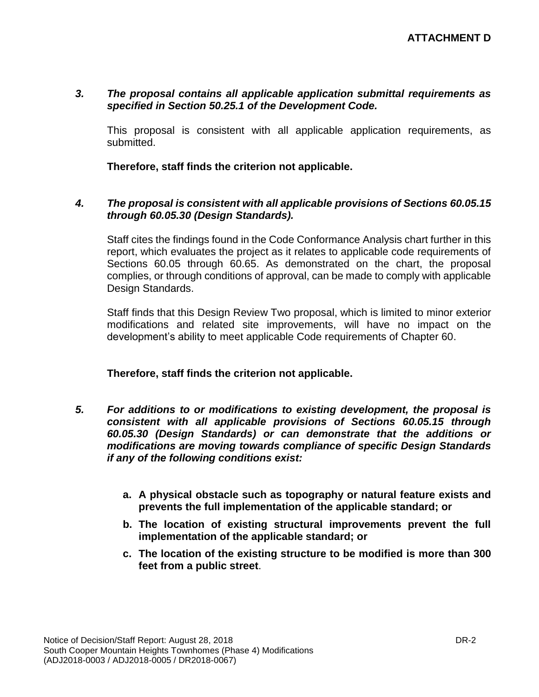#### *3. The proposal contains all applicable application submittal requirements as specified in Section 50.25.1 of the Development Code.*

This proposal is consistent with all applicable application requirements, as submitted.

**Therefore, staff finds the criterion not applicable.**

#### *4. The proposal is consistent with all applicable provisions of Sections 60.05.15 through 60.05.30 (Design Standards).*

Staff cites the findings found in the Code Conformance Analysis chart further in this report, which evaluates the project as it relates to applicable code requirements of Sections 60.05 through 60.65. As demonstrated on the chart, the proposal complies, or through conditions of approval, can be made to comply with applicable Design Standards.

Staff finds that this Design Review Two proposal, which is limited to minor exterior modifications and related site improvements, will have no impact on the development's ability to meet applicable Code requirements of Chapter 60.

#### **Therefore, staff finds the criterion not applicable.**

- *5. For additions to or modifications to existing development, the proposal is consistent with all applicable provisions of Sections 60.05.15 through 60.05.30 (Design Standards) or can demonstrate that the additions or modifications are moving towards compliance of specific Design Standards if any of the following conditions exist:*
	- **a. A physical obstacle such as topography or natural feature exists and prevents the full implementation of the applicable standard; or**
	- **b. The location of existing structural improvements prevent the full implementation of the applicable standard; or**
	- **c. The location of the existing structure to be modified is more than 300 feet from a public street**.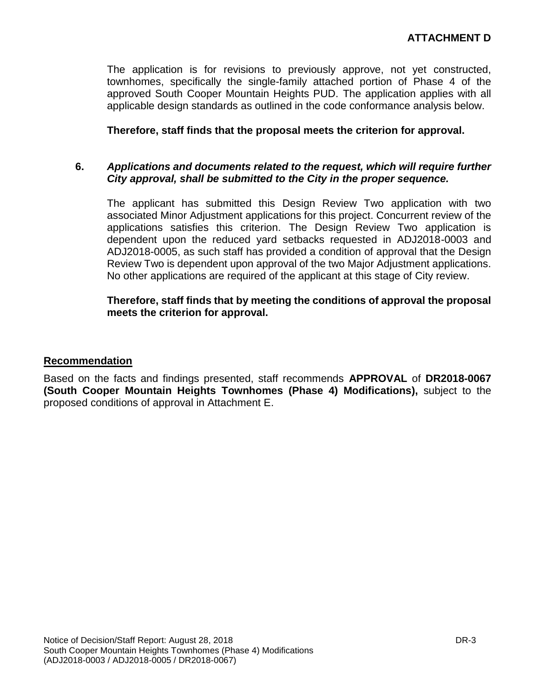The application is for revisions to previously approve, not yet constructed, townhomes, specifically the single-family attached portion of Phase 4 of the approved South Cooper Mountain Heights PUD. The application applies with all applicable design standards as outlined in the code conformance analysis below.

**Therefore, staff finds that the proposal meets the criterion for approval.**

#### **6.** *Applications and documents related to the request, which will require further City approval, shall be submitted to the City in the proper sequence.*

The applicant has submitted this Design Review Two application with two associated Minor Adjustment applications for this project. Concurrent review of the applications satisfies this criterion. The Design Review Two application is dependent upon the reduced yard setbacks requested in ADJ2018-0003 and ADJ2018-0005, as such staff has provided a condition of approval that the Design Review Two is dependent upon approval of the two Major Adjustment applications. No other applications are required of the applicant at this stage of City review.

#### **Therefore, staff finds that by meeting the conditions of approval the proposal meets the criterion for approval.**

#### **Recommendation**

Based on the facts and findings presented, staff recommends **APPROVAL** of **DR2018-0067 (South Cooper Mountain Heights Townhomes (Phase 4) Modifications),** subject to the proposed conditions of approval in Attachment E.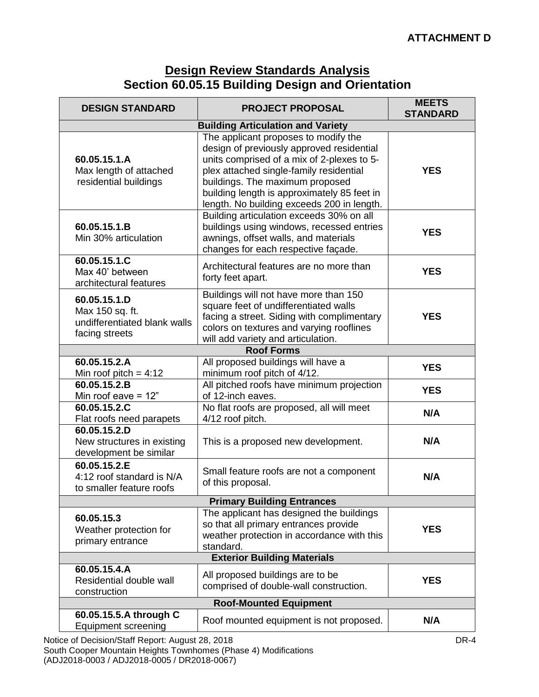# **Design Review Standards Analysis Section 60.05.15 Building Design and Orientation**

| <b>DESIGN STANDARD</b>                                                                           | <b>PROJECT PROPOSAL</b>                                                                                                                                                                                                                                                                                    | <b>MEETS</b><br><b>STANDARD</b> |
|--------------------------------------------------------------------------------------------------|------------------------------------------------------------------------------------------------------------------------------------------------------------------------------------------------------------------------------------------------------------------------------------------------------------|---------------------------------|
|                                                                                                  |                                                                                                                                                                                                                                                                                                            |                                 |
| 60.05.15.1.A<br>Max length of attached<br>residential buildings                                  | The applicant proposes to modify the<br>design of previously approved residential<br>units comprised of a mix of 2-plexes to 5-<br>plex attached single-family residential<br>buildings. The maximum proposed<br>building length is approximately 85 feet in<br>length. No building exceeds 200 in length. | <b>YES</b>                      |
| 60.05.15.1.B<br>Min 30% articulation                                                             | Building articulation exceeds 30% on all<br>buildings using windows, recessed entries<br>awnings, offset walls, and materials<br>changes for each respective façade.                                                                                                                                       | <b>YES</b>                      |
| 60.05.15.1.C<br>Max 40' between<br>architectural features                                        | Architectural features are no more than<br>forty feet apart.                                                                                                                                                                                                                                               | <b>YES</b>                      |
| 60.05.15.1.D<br>Max 150 sq. ft.<br>undifferentiated blank walls<br>facing streets                | Buildings will not have more than 150<br>square feet of undifferentiated walls<br>facing a street. Siding with complimentary<br>colors on textures and varying rooflines<br>will add variety and articulation.                                                                                             | <b>YES</b>                      |
|                                                                                                  | <b>Roof Forms</b>                                                                                                                                                                                                                                                                                          |                                 |
| 60.05.15.2.A                                                                                     | All proposed buildings will have a                                                                                                                                                                                                                                                                         | <b>YES</b>                      |
| Min roof pitch = $4:12$<br>60.05.15.2.B                                                          | minimum roof pitch of 4/12.<br>All pitched roofs have minimum projection                                                                                                                                                                                                                                   |                                 |
| Min roof eave $= 12$ "                                                                           | of 12-inch eaves.                                                                                                                                                                                                                                                                                          | <b>YES</b>                      |
| 60.05.15.2.C                                                                                     | No flat roofs are proposed, all will meet                                                                                                                                                                                                                                                                  | N/A                             |
| Flat roofs need parapets<br>60.05.15.2.D<br>New structures in existing<br>development be similar | 4/12 roof pitch.<br>This is a proposed new development.                                                                                                                                                                                                                                                    | N/A                             |
| 60.05.15.2.E<br>4:12 roof standard is N/A<br>to smaller feature roofs                            | Small feature roofs are not a component<br>of this proposal.                                                                                                                                                                                                                                               | N/A                             |
|                                                                                                  | <b>Primary Building Entrances</b>                                                                                                                                                                                                                                                                          |                                 |
| 60.05.15.3<br>Weather protection for<br>primary entrance                                         | The applicant has designed the buildings<br>so that all primary entrances provide<br>weather protection in accordance with this<br>standard.                                                                                                                                                               | <b>YES</b>                      |
| <b>Exterior Building Materials</b>                                                               |                                                                                                                                                                                                                                                                                                            |                                 |
| 60.05.15.4.A<br>Residential double wall<br>construction                                          | All proposed buildings are to be<br>comprised of double-wall construction.                                                                                                                                                                                                                                 | <b>YES</b>                      |
|                                                                                                  | <b>Roof-Mounted Equipment</b>                                                                                                                                                                                                                                                                              |                                 |
| 60.05.15.5.A through C<br><b>Equipment screening</b>                                             | Roof mounted equipment is not proposed.                                                                                                                                                                                                                                                                    | N/A                             |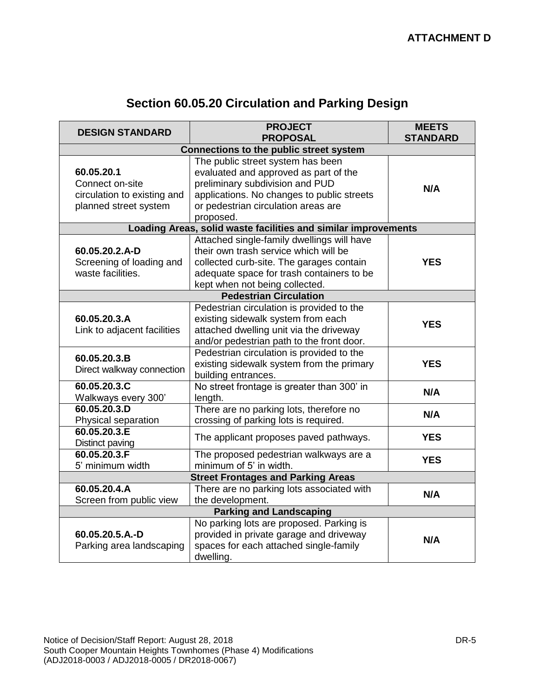| <b>DESIGN STANDARD</b>                                                                | <b>PROJECT</b><br><b>PROPOSAL</b>                                                                                                                                                                               | <b>MEETS</b><br><b>STANDARD</b> |
|---------------------------------------------------------------------------------------|-----------------------------------------------------------------------------------------------------------------------------------------------------------------------------------------------------------------|---------------------------------|
| Connections to the public street system                                               |                                                                                                                                                                                                                 |                                 |
| 60.05.20.1<br>Connect on-site<br>circulation to existing and<br>planned street system | The public street system has been<br>evaluated and approved as part of the<br>preliminary subdivision and PUD<br>applications. No changes to public streets<br>or pedestrian circulation areas are<br>proposed. | N/A                             |
|                                                                                       | Loading Areas, solid waste facilities and similar improvements                                                                                                                                                  |                                 |
| 60.05.20.2.A-D<br>Screening of loading and<br>waste facilities.                       | Attached single-family dwellings will have<br>their own trash service which will be<br>collected curb-site. The garages contain<br>adequate space for trash containers to be<br>kept when not being collected.  | <b>YES</b>                      |
|                                                                                       | <b>Pedestrian Circulation</b>                                                                                                                                                                                   |                                 |
| 60.05.20.3.A<br>Link to adjacent facilities                                           | Pedestrian circulation is provided to the<br>existing sidewalk system from each<br>attached dwelling unit via the driveway<br>and/or pedestrian path to the front door.                                         | <b>YES</b>                      |
| 60.05.20.3.B<br>Direct walkway connection                                             | Pedestrian circulation is provided to the<br>existing sidewalk system from the primary<br>building entrances.                                                                                                   | <b>YES</b>                      |
| 60.05.20.3.C<br>Walkways every 300'                                                   | No street frontage is greater than 300' in<br>length.                                                                                                                                                           | N/A                             |
| 60.05.20.3.D<br>Physical separation                                                   | There are no parking lots, therefore no<br>crossing of parking lots is required.                                                                                                                                | N/A                             |
| 60.05.20.3.E<br>Distinct paving                                                       | The applicant proposes paved pathways.                                                                                                                                                                          | <b>YES</b>                      |
| 60.05.20.3.F<br>5' minimum width                                                      | The proposed pedestrian walkways are a<br>minimum of 5' in width.                                                                                                                                               | <b>YES</b>                      |
| <b>Street Frontages and Parking Areas</b>                                             |                                                                                                                                                                                                                 |                                 |
| 60.05.20.4.A<br>Screen from public view                                               | There are no parking lots associated with<br>the development.                                                                                                                                                   | N/A                             |
| <b>Parking and Landscaping</b>                                                        |                                                                                                                                                                                                                 |                                 |
| 60.05.20.5.A.-D<br>Parking area landscaping                                           | No parking lots are proposed. Parking is<br>provided in private garage and driveway<br>spaces for each attached single-family<br>dwelling.                                                                      | N/A                             |

# **Section 60.05.20 Circulation and Parking Design**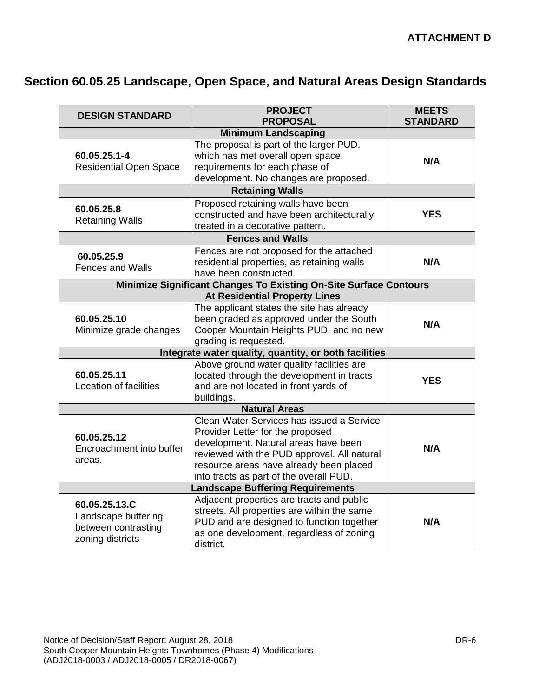# **Section 60.05.25 Landscape, Open Space, and Natural Areas Design Standards**

| <b>DESIGN STANDARD</b>                                                          | <b>PROJECT</b><br><b>PROPOSAL</b>                                                                                                                                                                                                                          | <b>MEETS</b><br><b>STANDARD</b> |  |
|---------------------------------------------------------------------------------|------------------------------------------------------------------------------------------------------------------------------------------------------------------------------------------------------------------------------------------------------------|---------------------------------|--|
|                                                                                 |                                                                                                                                                                                                                                                            |                                 |  |
| 60.05.25.1-4<br><b>Residential Open Space</b>                                   | <b>Minimum Landscaping</b><br>The proposal is part of the larger PUD,<br>which has met overall open space<br>requirements for each phase of<br>development. No changes are proposed.                                                                       | N/A                             |  |
|                                                                                 | <b>Retaining Walls</b>                                                                                                                                                                                                                                     |                                 |  |
| 60.05.25.8<br><b>Retaining Walls</b>                                            | Proposed retaining walls have been<br>constructed and have been architecturally<br>treated in a decorative pattern.                                                                                                                                        | <b>YES</b>                      |  |
|                                                                                 | <b>Fences and Walls</b>                                                                                                                                                                                                                                    |                                 |  |
| 60.05.25.9<br><b>Fences and Walls</b>                                           | Fences are not proposed for the attached<br>residential properties, as retaining walls<br>have been constructed.                                                                                                                                           | N/A                             |  |
|                                                                                 | Minimize Significant Changes To Existing On-Site Surface Contours<br><b>At Residential Property Lines</b>                                                                                                                                                  |                                 |  |
| 60.05.25.10<br>Minimize grade changes                                           | The applicant states the site has already<br>been graded as approved under the South<br>Cooper Mountain Heights PUD, and no new<br>grading is requested.                                                                                                   | N/A                             |  |
|                                                                                 | Integrate water quality, quantity, or both facilities                                                                                                                                                                                                      |                                 |  |
| 60.05.25.11<br>Location of facilities                                           | Above ground water quality facilities are<br>located through the development in tracts<br>and are not located in front yards of<br>buildings.                                                                                                              | <b>YES</b>                      |  |
|                                                                                 | <b>Natural Areas</b>                                                                                                                                                                                                                                       |                                 |  |
| 60.05.25.12<br>Encroachment into buffer<br>areas.                               | Clean Water Services has issued a Service<br>Provider Letter for the proposed<br>development. Natural areas have been<br>reviewed with the PUD approval. All natural<br>resource areas have already been placed<br>into tracts as part of the overall PUD. | N/A                             |  |
| <b>Landscape Buffering Requirements</b>                                         |                                                                                                                                                                                                                                                            |                                 |  |
| 60.05.25.13.C<br>Landscape buffering<br>between contrasting<br>zoning districts | Adjacent properties are tracts and public<br>streets. All properties are within the same<br>PUD and are designed to function together<br>as one development, regardless of zoning<br>district.                                                             | N/A                             |  |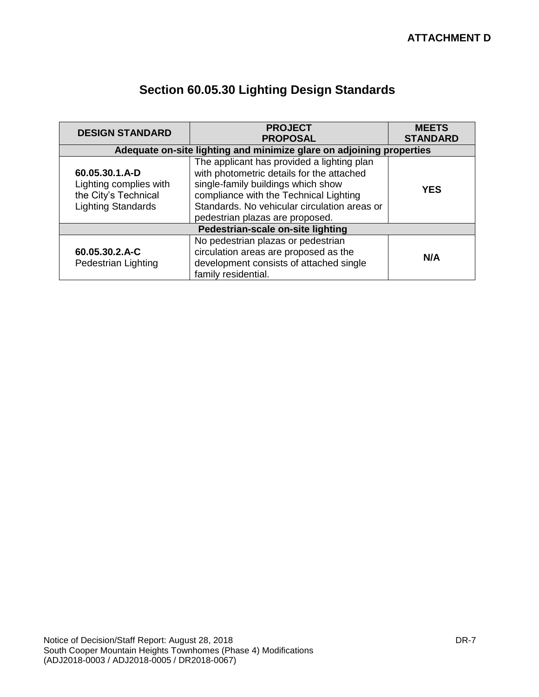| <b>DESIGN STANDARD</b>                                                                        | <b>PROJECT</b><br><b>PROPOSAL</b>                                                                                                                                                                                                                          |            |
|-----------------------------------------------------------------------------------------------|------------------------------------------------------------------------------------------------------------------------------------------------------------------------------------------------------------------------------------------------------------|------------|
|                                                                                               | Adequate on-site lighting and minimize glare on adjoining properties                                                                                                                                                                                       |            |
| 60.05.30.1.A-D<br>Lighting complies with<br>the City's Technical<br><b>Lighting Standards</b> | The applicant has provided a lighting plan<br>with photometric details for the attached<br>single-family buildings which show<br>compliance with the Technical Lighting<br>Standards. No vehicular circulation areas or<br>pedestrian plazas are proposed. | <b>YES</b> |
| Pedestrian-scale on-site lighting                                                             |                                                                                                                                                                                                                                                            |            |
| 60.05.30.2.A-C<br>Pedestrian Lighting                                                         | No pedestrian plazas or pedestrian<br>circulation areas are proposed as the<br>development consists of attached single<br>family residential.                                                                                                              | N/A        |

# **Section 60.05.30 Lighting Design Standards**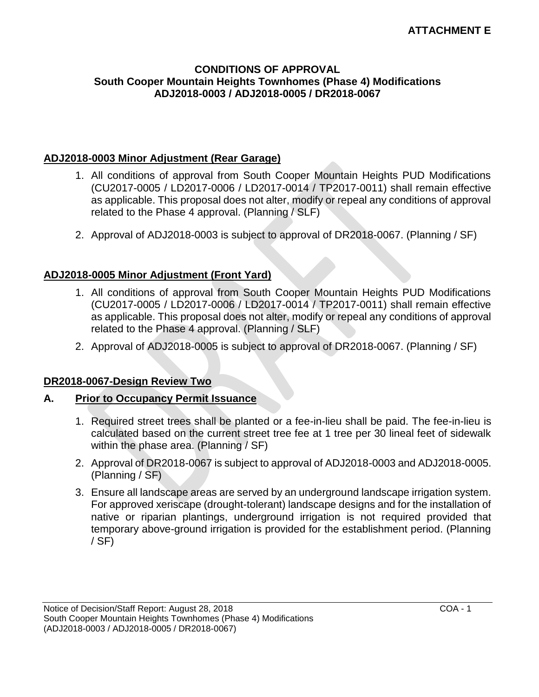#### **CONDITIONS OF APPROVAL South Cooper Mountain Heights Townhomes (Phase 4) Modifications ADJ2018-0003 / ADJ2018-0005 / DR2018-0067**

#### **ADJ2018-0003 Minor Adjustment (Rear Garage)**

- 1. All conditions of approval from South Cooper Mountain Heights PUD Modifications (CU2017-0005 / LD2017-0006 / LD2017-0014 / TP2017-0011) shall remain effective as applicable. This proposal does not alter, modify or repeal any conditions of approval related to the Phase 4 approval. (Planning / SLF)
- 2. Approval of ADJ2018-0003 is subject to approval of DR2018-0067. (Planning / SF)

## **ADJ2018-0005 Minor Adjustment (Front Yard)**

- 1. All conditions of approval from South Cooper Mountain Heights PUD Modifications (CU2017-0005 / LD2017-0006 / LD2017-0014 / TP2017-0011) shall remain effective as applicable. This proposal does not alter, modify or repeal any conditions of approval related to the Phase 4 approval. (Planning / SLF)
- 2. Approval of ADJ2018-0005 is subject to approval of DR2018-0067. (Planning / SF)

### **DR2018-0067-Design Review Two**

### **A. Prior to Occupancy Permit Issuance**

- 1. Required street trees shall be planted or a fee-in-lieu shall be paid. The fee-in-lieu is calculated based on the current street tree fee at 1 tree per 30 lineal feet of sidewalk within the phase area. (Planning / SF)
- 2. Approval of DR2018-0067 is subject to approval of ADJ2018-0003 and ADJ2018-0005. (Planning / SF)
- 3. Ensure all landscape areas are served by an underground landscape irrigation system. For approved xeriscape (drought-tolerant) landscape designs and for the installation of native or riparian plantings, underground irrigation is not required provided that temporary above-ground irrigation is provided for the establishment period. (Planning / SF)